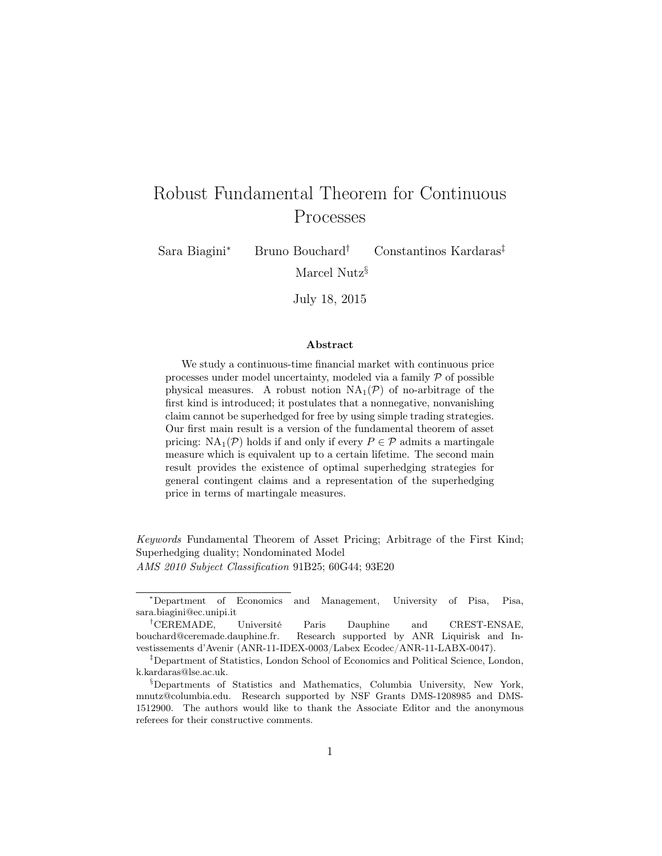# Robust Fundamental Theorem for Continuous Processes

Sara Biagini<sup>∗</sup> Bruno Bouchard† Constantinos Kardaras‡

Marcel Nutz§

July 18, 2015

#### Abstract

We study a continuous-time financial market with continuous price processes under model uncertainty, modeled via a family  $P$  of possible physical measures. A robust notion  $NA_1(\mathcal{P})$  of no-arbitrage of the first kind is introduced; it postulates that a nonnegative, nonvanishing claim cannot be superhedged for free by using simple trading strategies. Our first main result is a version of the fundamental theorem of asset pricing:  $NA_1(\mathcal{P})$  holds if and only if every  $P \in \mathcal{P}$  admits a martingale measure which is equivalent up to a certain lifetime. The second main result provides the existence of optimal superhedging strategies for general contingent claims and a representation of the superhedging price in terms of martingale measures.

Keywords Fundamental Theorem of Asset Pricing; Arbitrage of the First Kind; Superhedging duality; Nondominated Model

AMS 2010 Subject Classification 91B25; 60G44; 93E20

<sup>∗</sup>Department of Economics and Management, University of Pisa, Pisa, sara.biagini@ec.unipi.it

<sup>†</sup>CEREMADE, Université Paris Dauphine and CREST-ENSAE, bouchard@ceremade.dauphine.fr. Research supported by ANR Liquirisk and Investissements d'Avenir (ANR-11-IDEX-0003/Labex Ecodec/ANR-11-LABX-0047).

<sup>‡</sup>Department of Statistics, London School of Economics and Political Science, London, k.kardaras@lse.ac.uk.

<sup>§</sup>Departments of Statistics and Mathematics, Columbia University, New York, mnutz@columbia.edu. Research supported by NSF Grants DMS-1208985 and DMS-1512900. The authors would like to thank the Associate Editor and the anonymous referees for their constructive comments.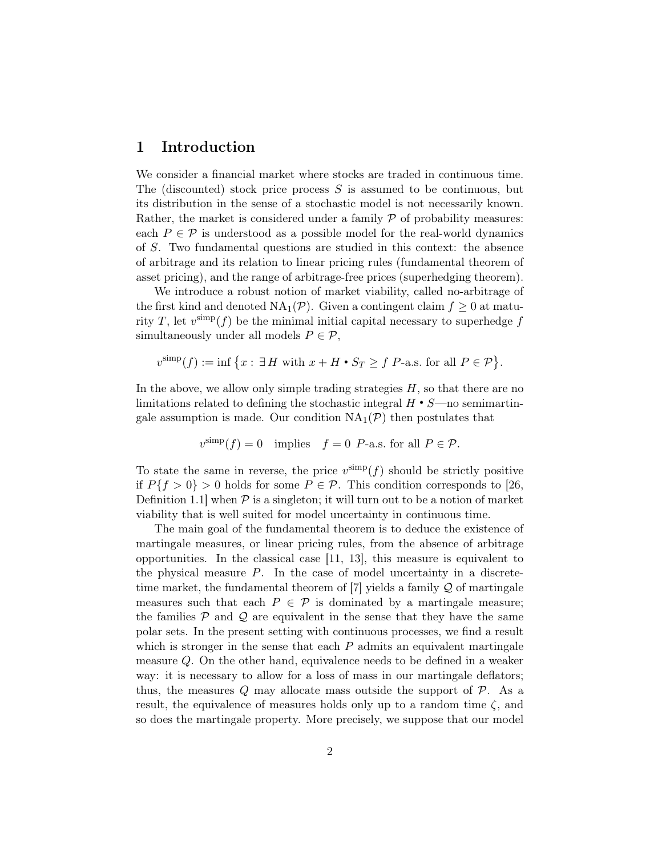# 1 Introduction

We consider a financial market where stocks are traded in continuous time. The (discounted) stock price process  $S$  is assumed to be continuous, but its distribution in the sense of a stochastic model is not necessarily known. Rather, the market is considered under a family  $P$  of probability measures: each  $P \in \mathcal{P}$  is understood as a possible model for the real-world dynamics of S. Two fundamental questions are studied in this context: the absence of arbitrage and its relation to linear pricing rules (fundamental theorem of asset pricing), and the range of arbitrage-free prices (superhedging theorem).

We introduce a robust notion of market viability, called no-arbitrage of the first kind and denoted  $NA_1(\mathcal{P})$ . Given a contingent claim  $f \geq 0$  at maturity T, let  $v^{\text{simp}}(f)$  be the minimal initial capital necessary to superhedge f simultaneously under all models  $P \in \mathcal{P}$ ,

$$
v^{\text{simp}}(f) := \inf \left\{ x : \exists H \text{ with } x + H \bullet S_T \ge f \text{ P-a.s. for all } P \in \mathcal{P} \right\}.
$$

In the above, we allow only simple trading strategies  $H$ , so that there are no limitations related to defining the stochastic integral  $H \cdot S$ —no semimartingale assumption is made. Our condition  $NA_1(\mathcal{P})$  then postulates that

$$
v^{\text{simp}}(f) = 0
$$
 implies  $f = 0$  P-a.s. for all  $P \in \mathcal{P}$ .

To state the same in reverse, the price  $v^{\text{simp}}(f)$  should be strictly positive if  $P\{f > 0\} > 0$  holds for some  $P \in \mathcal{P}$ . This condition corresponds to [\[26,](#page-30-0) Definition 1.1 when  $P$  is a singleton; it will turn out to be a notion of market viability that is well suited for model uncertainty in continuous time.

The main goal of the fundamental theorem is to deduce the existence of martingale measures, or linear pricing rules, from the absence of arbitrage opportunities. In the classical case [\[11,](#page-29-0) [13\]](#page-29-1), this measure is equivalent to the physical measure  $P$ . In the case of model uncertainty in a discretetime market, the fundamental theorem of  $[7]$  yields a family  $\mathcal Q$  of martingale measures such that each  $P \in \mathcal{P}$  is dominated by a martingale measure; the families  $P$  and  $Q$  are equivalent in the sense that they have the same polar sets. In the present setting with continuous processes, we find a result which is stronger in the sense that each  $P$  admits an equivalent martingale measure Q. On the other hand, equivalence needs to be defined in a weaker way: it is necessary to allow for a loss of mass in our martingale deflators; thus, the measures  $Q$  may allocate mass outside the support of  $\mathcal{P}$ . As a result, the equivalence of measures holds only up to a random time  $\zeta$ , and so does the martingale property. More precisely, we suppose that our model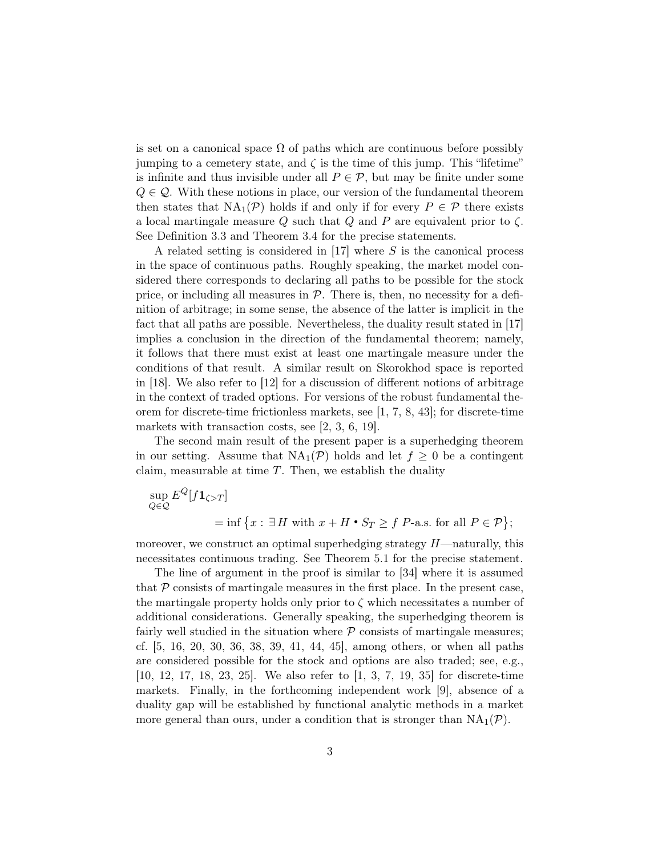is set on a canonical space  $\Omega$  of paths which are continuous before possibly jumping to a cemetery state, and  $\zeta$  is the time of this jump. This "lifetime" is infinite and thus invisible under all  $P \in \mathcal{P}$ , but may be finite under some  $Q \in \mathcal{Q}$ . With these notions in place, our version of the fundamental theorem then states that  $NA_1(\mathcal{P})$  holds if and only if for every  $P \in \mathcal{P}$  there exists a local martingale measure Q such that Q and P are equivalent prior to  $\zeta$ . See Definition [3.3](#page-5-0) and Theorem [3.4](#page-6-0) for the precise statements.

A related setting is considered in [\[17\]](#page-29-3) where S is the canonical process in the space of continuous paths. Roughly speaking, the market model considered there corresponds to declaring all paths to be possible for the stock price, or including all measures in  $P$ . There is, then, no necessity for a definition of arbitrage; in some sense, the absence of the latter is implicit in the fact that all paths are possible. Nevertheless, the duality result stated in [\[17\]](#page-29-3) implies a conclusion in the direction of the fundamental theorem; namely, it follows that there must exist at least one martingale measure under the conditions of that result. A similar result on Skorokhod space is reported in [\[18\]](#page-29-4). We also refer to [\[12\]](#page-29-5) for a discussion of different notions of arbitrage in the context of traded options. For versions of the robust fundamental theorem for discrete-time frictionless markets, see [\[1,](#page-28-0) [7,](#page-29-2) [8,](#page-29-6) [43\]](#page-31-0); for discrete-time markets with transaction costs, see [\[2,](#page-28-1) [3,](#page-28-2) [6,](#page-29-7) [19\]](#page-29-8).

The second main result of the present paper is a superhedging theorem in our setting. Assume that  $NA_1(\mathcal{P})$  holds and let  $f \geq 0$  be a contingent claim, measurable at time  $T$ . Then, we establish the duality

$$
\sup_{Q \in \mathcal{Q}} E^{Q}[f \mathbf{1}_{\zeta > T}]
$$
  
= inf {x :  $\exists H$  with  $x + H \cdot S_T \ge f$  P-a.s. for all  $P \in \mathcal{P}$ };

moreover, we construct an optimal superhedging strategy  $H$ —naturally, this necessitates continuous trading. See Theorem [5.1](#page-18-0) for the precise statement.

The line of argument in the proof is similar to [\[34\]](#page-30-1) where it is assumed that  $P$  consists of martingale measures in the first place. In the present case, the martingale property holds only prior to  $\zeta$  which necessitates a number of additional considerations. Generally speaking, the superhedging theorem is fairly well studied in the situation where  $P$  consists of martingale measures; cf. [\[5,](#page-28-3) [16,](#page-29-9) [20,](#page-29-10) [30,](#page-30-2) [36,](#page-30-3) [38,](#page-30-4) [39,](#page-30-5) [41,](#page-31-1) [44,](#page-31-2) [45\]](#page-31-3), among others, or when all paths are considered possible for the stock and options are also traded; see, e.g., [\[10,](#page-29-11) [12,](#page-29-5) [17,](#page-29-3) [18,](#page-29-4) [23,](#page-29-12) [25\]](#page-30-6). We also refer to [\[1,](#page-28-0) [3,](#page-28-2) [7,](#page-29-2) [19,](#page-29-8) [35\]](#page-30-7) for discrete-time markets. Finally, in the forthcoming independent work [\[9\]](#page-29-13), absence of a duality gap will be established by functional analytic methods in a market more general than ours, under a condition that is stronger than  $NA_1(\mathcal{P})$ .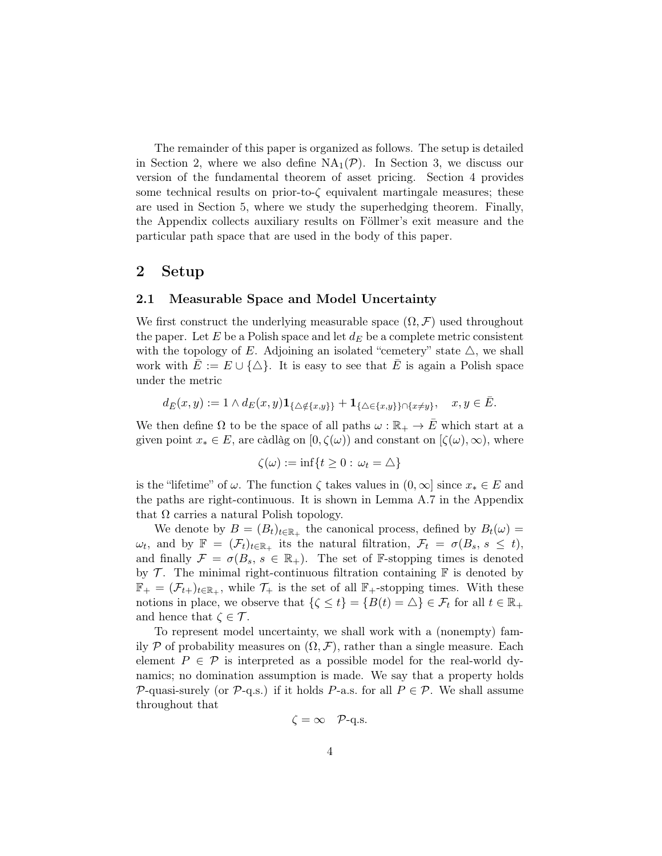The remainder of this paper is organized as follows. The setup is detailed in Section [2,](#page-3-0) where we also define  $NA_1(\mathcal{P})$ . In Section [3,](#page-5-1) we discuss our version of the fundamental theorem of asset pricing. Section [4](#page-8-0) provides some technical results on prior-to- $\zeta$  equivalent martingale measures; these are used in Section [5,](#page-17-0) where we study the superhedging theorem. Finally, the Appendix collects auxiliary results on Föllmer's exit measure and the particular path space that are used in the body of this paper.

## <span id="page-3-0"></span>2 Setup

#### 2.1 Measurable Space and Model Uncertainty

We first construct the underlying measurable space  $(\Omega, \mathcal{F})$  used throughout the paper. Let E be a Polish space and let  $d_E$  be a complete metric consistent with the topology of E. Adjoining an isolated "cemetery" state  $\triangle$ , we shall work with  $E := E \cup {\{\triangle\}}$ . It is easy to see that E is again a Polish space under the metric

$$
d_{\bar{E}}(x,y) := 1 \wedge d_E(x,y) \mathbf{1}_{\{\Delta \notin \{x,y\}\}} + \mathbf{1}_{\{\Delta \in \{x,y\}\} \cap \{x \neq y\}}, \quad x, y \in \bar{E}.
$$

We then define  $\Omega$  to be the space of all paths  $\omega : \mathbb{R}_+ \to \overline{E}$  which start at a given point  $x_* \in E$ , are càdlàg on  $[0, \zeta(\omega))$  and constant on  $[\zeta(\omega), \infty)$ , where

$$
\zeta(\omega) := \inf\{t \ge 0 : \omega_t = \triangle\}
$$

is the "lifetime" of  $\omega$ . The function  $\zeta$  takes values in  $(0, \infty]$  since  $x_* \in E$  and the paths are right-continuous. It is shown in Lemma [A.7](#page-27-0) in the Appendix that  $\Omega$  carries a natural Polish topology.

We denote by  $B = (B_t)_{t \in \mathbb{R}_+}$  the canonical process, defined by  $B_t(\omega) =$  $\omega_t$ , and by  $\mathbb{F} = (\mathcal{F}_t)_{t \in \mathbb{R}_+}$  its the natural filtration,  $\mathcal{F}_t = \sigma(B_s, s \leq t)$ , and finally  $\mathcal{F} = \sigma(B_s, s \in \mathbb{R}_+).$  The set of F-stopping times is denoted by  $\mathcal T$ . The minimal right-continuous filtration containing  $\mathbb F$  is denoted by  $\mathbb{F}_+ = (\mathcal{F}_{t+})_{t \in \mathbb{R}_+}$ , while  $\mathcal{T}_+$  is the set of all  $\mathbb{F}_+$ -stopping times. With these notions in place, we observe that  $\{\zeta \leq t\} = \{B(t) = \Delta\} \in \mathcal{F}_t$  for all  $t \in \mathbb{R}_+$ and hence that  $\zeta \in \mathcal{T}$ .

To represent model uncertainty, we shall work with a (nonempty) family P of probability measures on  $(\Omega, \mathcal{F})$ , rather than a single measure. Each element  $P \in \mathcal{P}$  is interpreted as a possible model for the real-world dynamics; no domination assumption is made. We say that a property holds P-quasi-surely (or P-q.s.) if it holds P-a.s. for all  $P \in \mathcal{P}$ . We shall assume throughout that

$$
\zeta = \infty \quad \mathcal{P}\text{-q.s.}
$$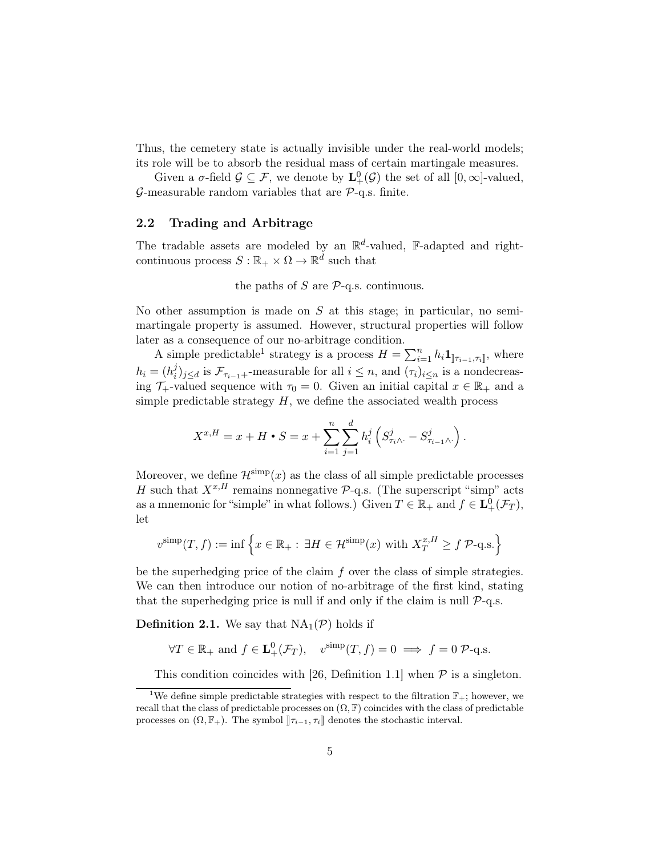Thus, the cemetery state is actually invisible under the real-world models; its role will be to absorb the residual mass of certain martingale measures.

Given a  $\sigma$ -field  $\mathcal{G} \subseteq \mathcal{F}$ , we denote by  $\mathbf{L}^0_+(\mathcal{G})$  the set of all  $[0,\infty]$ -valued,  $\mathcal{G}$ -measurable random variables that are  $\mathcal{P}$ -q.s. finite.

#### 2.2 Trading and Arbitrage

The tradable assets are modeled by an  $\mathbb{R}^d$ -valued, F-adapted and rightcontinuous process  $S : \mathbb{R}_+ \times \Omega \to \mathbb{R}^d$  such that

the paths of  $S$  are  $P$ -q.s. continuous.

No other assumption is made on  $S$  at this stage; in particular, no semimartingale property is assumed. However, structural properties will follow later as a consequence of our no-arbitrage condition.

A simple predictable<sup>[1](#page-4-0)</sup> strategy is a process  $H = \sum_{i=1}^{n} h_i \mathbf{1}_{\left] \tau_{i-1}, \tau_i \right]}$ , where  $h_i = (h_i^j)$  $\mathcal{F}_{\tau_{i-1}+}$ -measurable for all  $i \leq n$ , and  $(\tau_i)_{i \leq n}$  is a nondecreasing  $\mathcal{T}_+$ -valued sequence with  $\tau_0 = 0$ . Given an initial capital  $x \in \mathbb{R}_+$  and a simple predictable strategy  $H$ , we define the associated wealth process

$$
X^{x,H} = x + H \cdot S = x + \sum_{i=1}^{n} \sum_{j=1}^{d} h_i^j \left( S_{\tau_i \wedge \cdot}^j - S_{\tau_{i-1} \wedge \cdot}^j \right).
$$

Moreover, we define  $\mathcal{H}^{\text{simp}}(x)$  as the class of all simple predictable processes H such that  $X^{x,H}$  remains nonnegative  $\mathcal{P}\text{-q.s.}$  (The superscript "simp" acts as a mnemonic for "simple" in what follows.) Given  $T \in \mathbb{R}_+$  and  $f \in \mathbf{L}^0_+(\mathcal{F}_T)$ , let

$$
v^{\text{simp}}(T,f) := \inf \left\{ x \in \mathbb{R}_+ : \exists H \in \mathcal{H}^{\text{simp}}(x) \text{ with } X_T^{x,H} \ge f \mathcal{P}\text{-q.s.} \right\}
$$

be the superhedging price of the claim  $f$  over the class of simple strategies. We can then introduce our notion of no-arbitrage of the first kind, stating that the superhedging price is null if and only if the claim is null  $P$ -q.s.

<span id="page-4-1"></span>**Definition 2.1.** We say that  $NA_1(\mathcal{P})$  holds if

$$
\forall T \in \mathbb{R}_+ \text{ and } f \in \mathbf{L}_+^0(\mathcal{F}_T), \quad v^{\text{simp}}(T, f) = 0 \implies f = 0 \text{ P-q.s.}
$$

<span id="page-4-0"></span>This condition coincides with [\[26,](#page-30-0) Definition 1.1] when  $\mathcal P$  is a singleton.

<sup>&</sup>lt;sup>1</sup>We define simple predictable strategies with respect to the filtration  $\mathbb{F}_+$ ; however, we recall that the class of predictable processes on  $(\Omega, \mathbb{F})$  coincides with the class of predictable processes on  $(\Omega, \mathbb{F}_+)$ . The symbol  $]\!] \tau_{i-1}, \tau_i]\!]$  denotes the stochastic interval.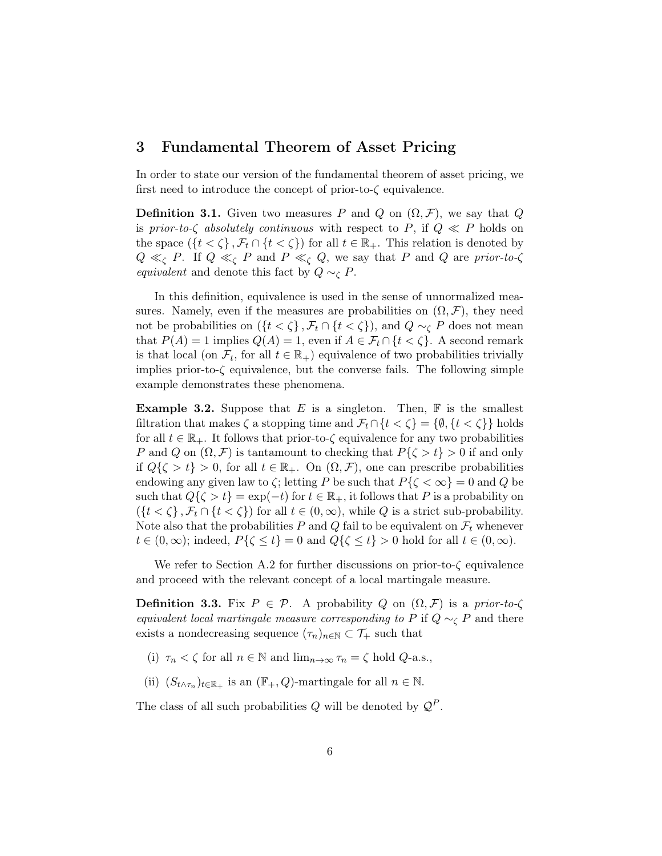# <span id="page-5-1"></span>3 Fundamental Theorem of Asset Pricing

In order to state our version of the fundamental theorem of asset pricing, we first need to introduce the concept of prior-to- $\zeta$  equivalence.

<span id="page-5-2"></span>**Definition 3.1.** Given two measures P and Q on  $(\Omega, \mathcal{F})$ , we say that Q is prior-to- $\zeta$  absolutely continuous with respect to P, if  $Q \ll P$  holds on the space  $({t < \zeta}, \mathcal{F}_t \cap {t < \zeta})$  for all  $t \in \mathbb{R}_+$ . This relation is denoted by  $Q \ll_{\zeta} P$ . If  $Q \ll_{\zeta} P$  and  $P \ll_{\zeta} Q$ , we say that P and Q are prior-to- $\zeta$ equivalent and denote this fact by  $Q \sim_{\mathcal{C}} P$ .

In this definition, equivalence is used in the sense of unnormalized measures. Namely, even if the measures are probabilities on  $(\Omega, \mathcal{F})$ , they need not be probabilities on  $({t < \zeta}, \mathcal{F}_t \cap {t < \zeta})$ , and  $Q \sim_{\zeta} P$  does not mean that  $P(A) = 1$  implies  $Q(A) = 1$ , even if  $A \in \mathcal{F}_t \cap \{t < \zeta\}$ . A second remark is that local (on  $\mathcal{F}_t$ , for all  $t \in \mathbb{R}_+$ ) equivalence of two probabilities trivially implies prior-to- $\zeta$  equivalence, but the converse fails. The following simple example demonstrates these phenomena.

**Example 3.2.** Suppose that E is a singleton. Then,  $\mathbb{F}$  is the smallest filtration that makes  $\zeta$  a stopping time and  $\mathcal{F}_t \cap \{t \leq \zeta\} = \{\emptyset, \{t \leq \zeta\}\}\$ holds for all  $t \in \mathbb{R}_+$ . It follows that prior-to- $\zeta$  equivalence for any two probabilities P and Q on  $(\Omega, \mathcal{F})$  is tantamount to checking that  $P\{\zeta > t\} > 0$  if and only if  $Q\{\zeta > t\} > 0$ , for all  $t \in \mathbb{R}_+$ . On  $(\Omega, \mathcal{F})$ , one can prescribe probabilities endowing any given law to  $\zeta$ ; letting P be such that  $P\{\zeta < \infty\} = 0$  and Q be such that  $Q\{\zeta > t\} = \exp(-t)$  for  $t \in \mathbb{R}_+$ , it follows that P is a probability on  $({t < \zeta}, \mathcal{F}_t \cap {t < \zeta})$  for all  $t \in (0, \infty)$ , while Q is a strict sub-probability. Note also that the probabilities P and Q fail to be equivalent on  $\mathcal{F}_t$  whenever  $t \in (0,\infty)$ ; indeed,  $P\{\zeta \leq t\} = 0$  and  $Q\{\zeta \leq t\} > 0$  hold for all  $t \in (0,\infty)$ .

We refer to Section [A.2](#page-24-0) for further discussions on prior-to- $\zeta$  equivalence and proceed with the relevant concept of a local martingale measure.

<span id="page-5-0"></span>**Definition 3.3.** Fix  $P \in \mathcal{P}$ . A probability Q on  $(\Omega, \mathcal{F})$  is a prior-to- $\zeta$ equivalent local martingale measure corresponding to P if  $Q \sim_{\mathcal{C}} P$  and there exists a nondecreasing sequence  $(\tau_n)_{n\in\mathbb{N}}\subset\mathcal{T}_+$  such that

- (i)  $\tau_n < \zeta$  for all  $n \in \mathbb{N}$  and  $\lim_{n \to \infty} \tau_n = \zeta$  hold  $Q$ -a.s.,
- (ii)  $(S_{t \wedge \tau_n})_{t \in \mathbb{R}_+}$  is an  $(\mathbb{F}_+, Q)$ -martingale for all  $n \in \mathbb{N}$ .

The class of all such probabilities Q will be denoted by  $\mathcal{Q}^P$ .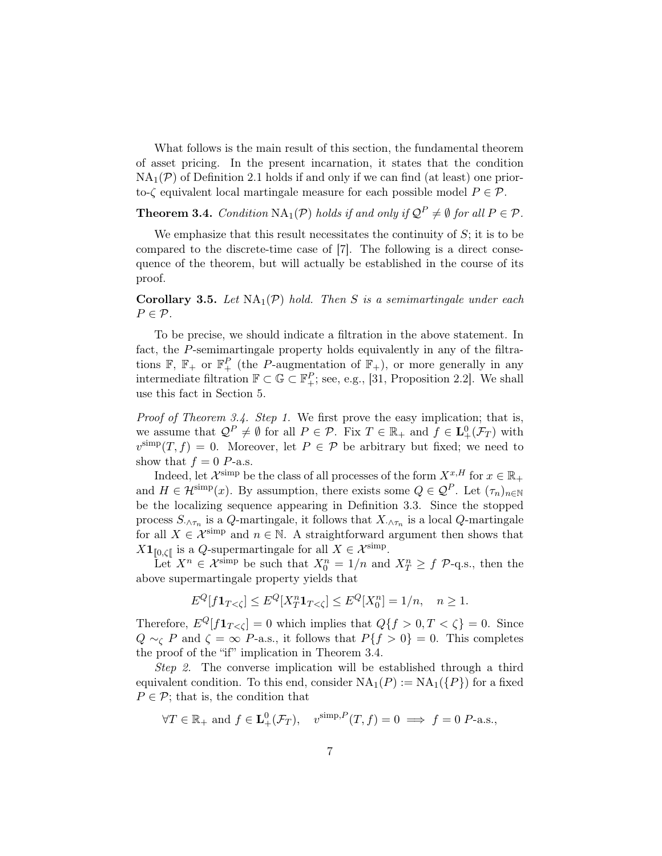What follows is the main result of this section, the fundamental theorem of asset pricing. In the present incarnation, it states that the condition  $NA_1(\mathcal{P})$  of Definition [2.1](#page-4-1) holds if and only if we can find (at least) one priorto- $\zeta$  equivalent local martingale measure for each possible model  $P \in \mathcal{P}$ .

<span id="page-6-0"></span>**Theorem 3.4.** Condition  $NA_1(\mathcal{P})$  holds if and only if  $\mathcal{Q}^P \neq \emptyset$  for all  $P \in \mathcal{P}$ .

We emphasize that this result necessitates the continuity of  $S$ ; it is to be compared to the discrete-time case of [\[7\]](#page-29-2). The following is a direct consequence of the theorem, but will actually be established in the course of its proof.

<span id="page-6-1"></span>**Corollary 3.5.** Let  $NA_1(\mathcal{P})$  hold. Then S is a semimartingale under each  $P \in \mathcal{P}$ .

To be precise, we should indicate a filtration in the above statement. In fact, the P-semimartingale property holds equivalently in any of the filtrations  $\mathbb{F}, \mathbb{F}_+$  or  $\mathbb{F}_+^P$  (the P-augmentation of  $\mathbb{F}_+$ ), or more generally in any intermediate filtration  $\mathbb{F} \subset \mathbb{G} \subset \mathbb{F}_+^P$ ; see, e.g., [\[31,](#page-30-8) Proposition 2.2]. We shall use this fact in Section [5.](#page-17-0)

Proof of Theorem [3.4.](#page-6-0) Step 1. We first prove the easy implication; that is, we assume that  $\mathcal{Q}^P \neq \emptyset$  for all  $P \in \mathcal{P}$ . Fix  $T \in \mathbb{R}_+$  and  $f \in \mathbf{L}^0_+(\mathcal{F}_T)$  with  $v^{\text{simp}}(T, f) = 0$ . Moreover, let  $P \in \mathcal{P}$  be arbitrary but fixed; we need to show that  $f = 0$  P-a.s.

Indeed, let  $\mathcal{X}^{\text{simp}}$  be the class of all processes of the form  $X^{x,H}$  for  $x \in \mathbb{R}_+$ and  $H \in \mathcal{H}^{\text{simp}}(x)$ . By assumption, there exists some  $Q \in \mathcal{Q}^P$ . Let  $(\tau_n)_{n \in \mathbb{N}}$ be the localizing sequence appearing in Definition [3.3.](#page-5-0) Since the stopped process  $S_{\cdot \wedge \tau_n}$  is a Q-martingale, it follows that  $X_{\cdot \wedge \tau_n}$  is a local Q-martingale for all  $X \in \mathcal{X}^{\text{simp}}$  and  $n \in \mathbb{N}$ . A straightforward argument then shows that  $X1_{[0,\zeta[}$  is a Q-supermartingale for all  $X \in \mathcal{X}^{\text{simp}}$ .

Let  $X^n \in \mathcal{X}^{\text{simp}}$  be such that  $X_0^n = 1/n$  and  $X_T^n \geq f$   $\mathcal{P}\text{-q.s.,}$  then the above supermartingale property yields that

$$
E^{Q}[f\mathbf{1}_{T<\zeta}] \leq E^{Q}[X_T^n \mathbf{1}_{T<\zeta}] \leq E^{Q}[X_0^n] = 1/n, \quad n \geq 1.
$$

Therefore,  $E^Q[f\mathbf{1}_{T<\zeta}] = 0$  which implies that  $Q\{f > 0, T < \zeta\} = 0$ . Since  $Q \sim_{\mathcal{C}} P$  and  $\zeta = \infty$  P-a.s., it follows that  $P\{f > 0\} = 0$ . This completes the proof of the "if" implication in Theorem [3.4.](#page-6-0)

Step 2. The converse implication will be established through a third equivalent condition. To this end, consider  $NA_1(P) := NA_1({P})$  for a fixed  $P \in \mathcal{P}$ ; that is, the condition that

$$
\forall T \in \mathbb{R}_+ \text{ and } f \in \mathbf{L}_+^0(\mathcal{F}_T), \quad v^{\text{simp}, P}(T, f) = 0 \implies f = 0 \text{ P-a.s.},
$$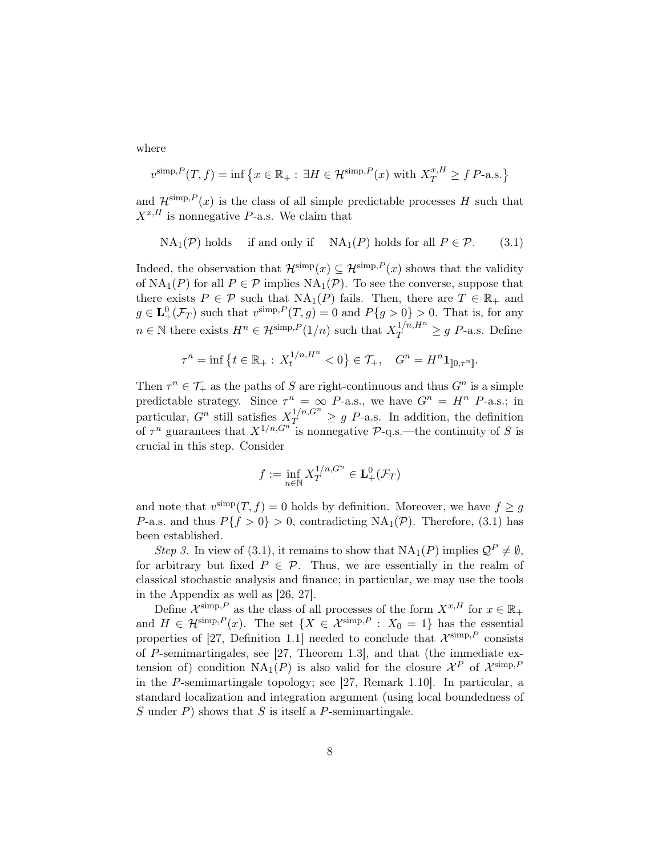where

$$
v^{\text{simp},P}(T,f) = \inf \left\{ x \in \mathbb{R}_+ : \exists H \in \mathcal{H}^{\text{simp},P}(x) \text{ with } X_T^{x,H} \ge f \text{ P-a.s.} \right\}
$$

and  $\mathcal{H}^{\text{simp},P}(x)$  is the class of all simple predictable processes H such that  $X^{x,H}$  is nonnegative P-a.s. We claim that

<span id="page-7-0"></span>
$$
NA_1(\mathcal{P})
$$
 holds if and only if  $NA_1(P)$  holds for all  $P \in \mathcal{P}$ . (3.1)

Indeed, the observation that  $\mathcal{H}^{\text{simp}}(x) \subseteq \mathcal{H}^{\text{simp},P}(x)$  shows that the validity of  $NA_1(P)$  for all  $P \in \mathcal{P}$  implies  $NA_1(\mathcal{P})$ . To see the converse, suppose that there exists  $P \in \mathcal{P}$  such that  $NA_1(P)$  fails. Then, there are  $T \in \mathbb{R}_+$  and  $g \in \mathbf{L}^0_+(\mathcal{F}_T)$  such that  $v^{\text{simp},P}(T,g) = 0$  and  $P\{g > 0\} > 0$ . That is, for any  $n \in \mathbb{N}$  there exists  $H^n \in \mathcal{H}^{\text{simp},P}(1/n)$  such that  $X_T^{1/n,H^n} \geq g$  P-a.s. Define

$$
\tau^{n} = \inf \left\{ t \in \mathbb{R}_{+} : X_{t}^{1/n, H^{n}} < 0 \right\} \in \mathcal{T}_{+}, \quad G^{n} = H^{n} \mathbf{1}_{[0, \tau^{n}]}.
$$

Then  $\tau^n \in \mathcal{T}_+$  as the paths of S are right-continuous and thus  $G^n$  is a simple predictable strategy. Since  $\tau^n = \infty$  P-a.s., we have  $G^n = H^n$  P-a.s.; in particular,  $G^n$  still satisfies  $X_T^{1/n, G^n} \geq g$  P-a.s. In addition, the definition of  $\tau^n$  guarantees that  $X^{1/n, G^{n}}$  is nonnegative P-q.s.—the continuity of S is crucial in this step. Consider

$$
f := \inf_{n \in \mathbb{N}} X_T^{1/n, G^n} \in \mathbf{L}_+^0(\mathcal{F}_T)
$$

and note that  $v^{\text{simp}}(T, f) = 0$  holds by definition. Moreover, we have  $f \ge g$ P-a.s. and thus  $P\{f > 0\} > 0$ , contradicting NA<sub>1</sub>(P). Therefore, [\(3.1\)](#page-7-0) has been established.

Step 3. In view of [\(3.1\)](#page-7-0), it remains to show that  $NA_1(P)$  implies  $Q^P \neq \emptyset$ , for arbitrary but fixed  $P \in \mathcal{P}$ . Thus, we are essentially in the realm of classical stochastic analysis and finance; in particular, we may use the tools in the Appendix as well as [\[26,](#page-30-0) [27\]](#page-30-9).

Define  $\mathcal{X}^{\text{simp},P}$  as the class of all processes of the form  $X^{x,H}$  for  $x \in \mathbb{R}_+$ and  $H \in \mathcal{H}^{\text{simp},P}(x)$ . The set  $\{X \in \mathcal{X}^{\text{simp},P} : X_0 = 1\}$  has the essential properties of [\[27,](#page-30-9) Definition 1.1] needed to conclude that  $\mathcal{X}^{\text{simp},P}$  consists of P-semimartingales, see [\[27,](#page-30-9) Theorem 1.3], and that (the immediate extension of) condition  $NA_1(P)$  is also valid for the closure  $\mathcal{X}^P$  of  $\mathcal{X}^{\text{simp},P}$ in the P-semimartingale topology; see [\[27,](#page-30-9) Remark 1.10]. In particular, a standard localization and integration argument (using local boundedness of S under  $P$ ) shows that S is itself a P-semimartingale.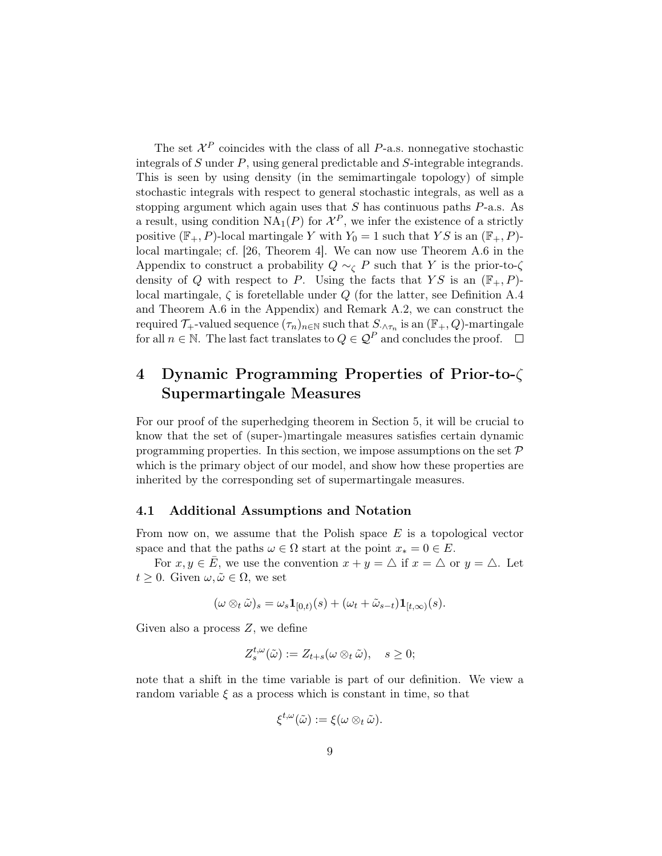The set  $\mathcal{X}^P$  coincides with the class of all P-a.s. nonnegative stochastic integrals of S under P, using general predictable and S-integrable integrands. This is seen by using density (in the semimartingale topology) of simple stochastic integrals with respect to general stochastic integrals, as well as a stopping argument which again uses that  $S$  has continuous paths  $P$ -a.s. As a result, using condition  $\operatorname{NA}_1(P)$  for  $\mathcal{X}^P$ , we infer the existence of a strictly positive  $(\mathbb{F}_{+}, P)$ -local martingale Y with  $Y_0 = 1$  such that YS is an  $(\mathbb{F}_{+}, P)$ local martingale; cf. [\[26,](#page-30-0) Theorem 4]. We can now use Theorem [A.6](#page-26-0) in the Appendix to construct a probability  $Q \sim_{\zeta} P$  such that Y is the prior-to- $\zeta$ density of Q with respect to P. Using the facts that  $YS$  is an  $(\mathbb{F}_{+}, P)$ local martingale,  $\zeta$  is foretellable under Q (for the latter, see Definition [A.4](#page-25-0) and Theorem [A.6](#page-26-0) in the Appendix) and Remark [A.2,](#page-25-1) we can construct the required  $\mathcal{T}_+$ -valued sequence  $(\tau_n)_{n\in\mathbb{N}}$  such that  $S_{\cdot\wedge\tau_n}$  is an  $(\mathbb{F}_+,Q)$ -martingale for all  $n \in \mathbb{N}$ . The last fact translates to  $Q \in \mathcal{Q}^P$  and concludes the proof.

# <span id="page-8-0"></span>4 Dynamic Programming Properties of Prior-to-ζ Supermartingale Measures

For our proof of the superhedging theorem in Section [5,](#page-17-0) it will be crucial to know that the set of (super-)martingale measures satisfies certain dynamic programming properties. In this section, we impose assumptions on the set  $P$ which is the primary object of our model, and show how these properties are inherited by the corresponding set of supermartingale measures.

#### 4.1 Additional Assumptions and Notation

From now on, we assume that the Polish space  $E$  is a topological vector space and that the paths  $\omega \in \Omega$  start at the point  $x_* = 0 \in E$ .

For  $x, y \in \overline{E}$ , we use the convention  $x + y = \Delta$  if  $x = \Delta$  or  $y = \Delta$ . Let  $t \geq 0$ . Given  $\omega, \tilde{\omega} \in \Omega$ , we set

$$
(\omega \otimes_t \tilde{\omega})_s = \omega_s \mathbf{1}_{[0,t)}(s) + (\omega_t + \tilde{\omega}_{s-t}) \mathbf{1}_{[t,\infty)}(s).
$$

Given also a process  $Z$ , we define

$$
Z_s^{t,\omega}(\tilde{\omega}) := Z_{t+s}(\omega \otimes_t \tilde{\omega}), \quad s \geq 0;
$$

note that a shift in the time variable is part of our definition. We view a random variable  $\xi$  as a process which is constant in time, so that

$$
\xi^{t,\omega}(\tilde{\omega}) := \xi(\omega \otimes_t \tilde{\omega}).
$$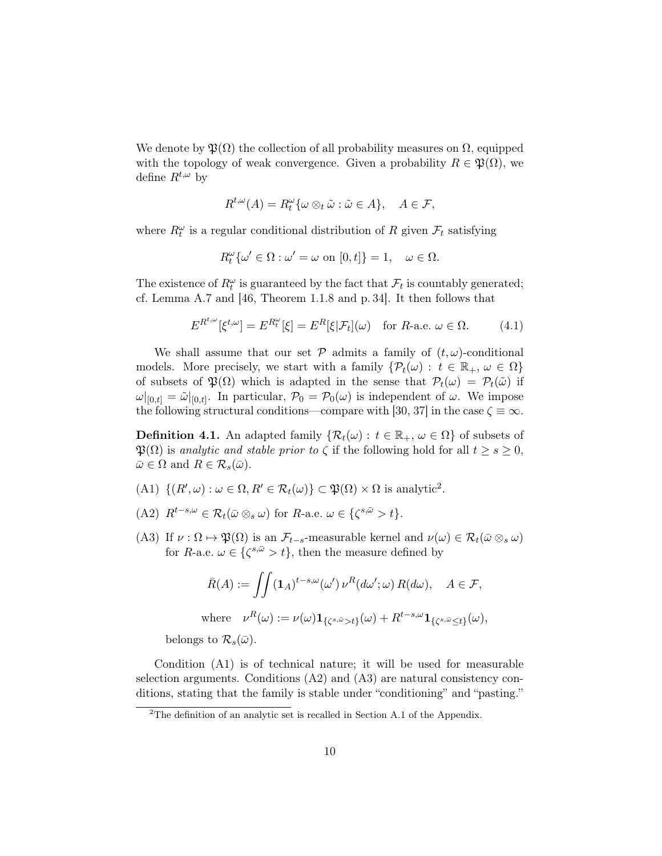We denote by  $\mathfrak{P}(\Omega)$  the collection of all probability measures on  $\Omega$ , equipped with the topology of weak convergence. Given a probability  $R \in \mathfrak{P}(\Omega)$ , we define  $R^{t,\omega}$  by

$$
R^{t,\omega}(A) = R_t^{\omega} \{ \omega \otimes_t \tilde{\omega} : \tilde{\omega} \in A \}, \quad A \in \mathcal{F},
$$

where  $R_t^{\omega}$  is a regular conditional distribution of R given  $\mathcal{F}_t$  satisfying

$$
R_t^{\omega}\{\omega' \in \Omega : \omega' = \omega \text{ on } [0, t]\} = 1, \quad \omega \in \Omega.
$$

The existence of  $R_t^{\omega}$  is guaranteed by the fact that  $\mathcal{F}_t$  is countably generated; cf. Lemma [A.7](#page-27-0) and [\[46,](#page-31-4) Theorem 1.1.8 and p. 34]. It then follows that

<span id="page-9-2"></span>
$$
E^{R^{t,\omega}}[\xi^{t,\omega}] = E^{R_t^{\omega}}[\xi] = E^R[\xi|\mathcal{F}_t](\omega) \quad \text{for } R\text{-a.e. } \omega \in \Omega. \tag{4.1}
$$

We shall assume that our set  $P$  admits a family of  $(t, \omega)$ -conditional models. More precisely, we start with a family  $\{\mathcal{P}_t(\omega): t \in \mathbb{R}_+, \omega \in \Omega\}$ of subsets of  $\mathfrak{P}(\Omega)$  which is adapted in the sense that  $\mathcal{P}_t(\omega) = \mathcal{P}_t(\tilde{\omega})$  if  $\omega|_{[0,t]} = \tilde{\omega}|_{[0,t]}$ . In particular,  $\mathcal{P}_0 = \mathcal{P}_0(\omega)$  is independent of  $\omega$ . We impose the following structural conditions—compare with [\[30,](#page-30-2) [37\]](#page-30-10) in the case  $\zeta \equiv \infty$ .

<span id="page-9-1"></span>**Definition 4.1.** An adapted family  $\{\mathcal{R}_t(\omega): t \in \mathbb{R}_+, \omega \in \Omega\}$  of subsets of  $\mathfrak{P}(\Omega)$  is analytic and stable prior to  $\zeta$  if the following hold for all  $t \geq s \geq 0$ ,  $\bar{\omega} \in \Omega$  and  $R \in \mathcal{R}_s(\bar{\omega})$ .

- (A1)  $\{(R', \omega) : \omega \in \Omega, R' \in \mathcal{R}_t(\omega)\} \subset \mathfrak{P}(\Omega) \times \Omega$  is analytic<sup>[2](#page-9-0)</sup>.
- (A2)  $R^{t-s,\omega} \in \mathcal{R}_t(\bar{\omega} \otimes_s \omega)$  for  $R$ -a.e.  $\omega \in {\{\zeta^{s,\bar{\omega}} > t\}}$ .
- (A3) If  $\nu : \Omega \mapsto \mathfrak{P}(\Omega)$  is an  $\mathcal{F}_{t-s}$ -measurable kernel and  $\nu(\omega) \in \mathcal{R}_t(\bar{\omega} \otimes_s \omega)$ for R-a.e.  $\omega \in {\{\zeta^{s,\bar{\omega}} > t\}}$ , then the measure defined by

$$
\bar{R}(A) := \iint (\mathbf{1}_A)^{t-s,\omega} (\omega') \, \nu^R(d\omega';\omega) \, R(d\omega), \quad A \in \mathcal{F},
$$
\n
$$
\text{where} \quad \nu^R(\omega) := \nu(\omega) \mathbf{1}_{\{\zeta^{s,\bar{\omega}} > t\}}(\omega) + R^{t-s,\omega} \mathbf{1}_{\{\zeta^{s,\bar{\omega}} \le t\}}(\omega),
$$

belongs to  $\mathcal{R}_s(\bar{\omega})$ .

Condition (A1) is of technical nature; it will be used for measurable selection arguments. Conditions (A2) and (A3) are natural consistency conditions, stating that the family is stable under "conditioning" and "pasting."

<span id="page-9-0"></span><sup>&</sup>lt;sup>2</sup>The definition of an analytic set is recalled in Section [A.1](#page-23-0) of the Appendix.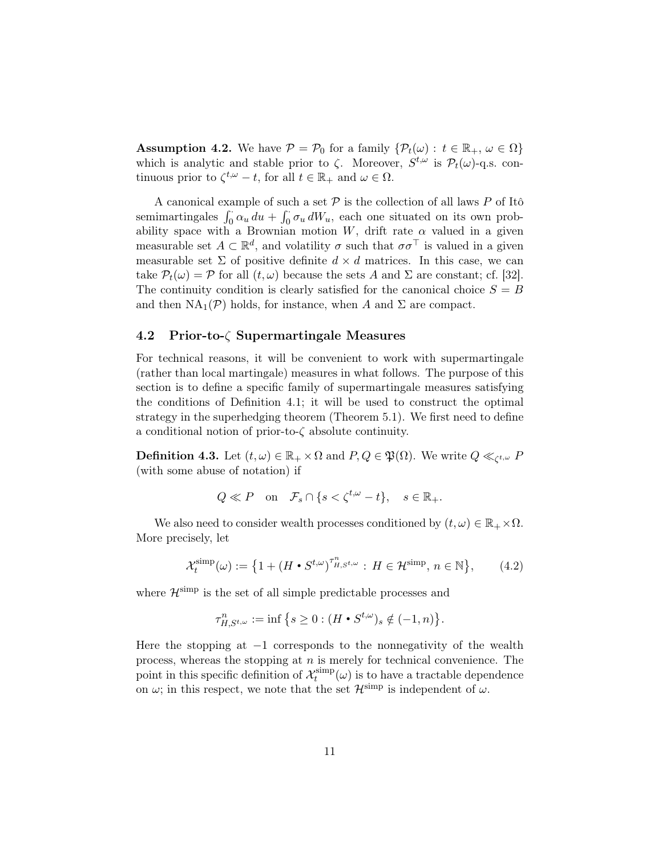<span id="page-10-1"></span>**Assumption 4.2.** We have  $\mathcal{P} = \mathcal{P}_0$  for a family  $\{\mathcal{P}_t(\omega): t \in \mathbb{R}_+, \omega \in \Omega\}$ which is analytic and stable prior to  $\zeta$ . Moreover,  $S^{t,\omega}$  is  $\mathcal{P}_t(\omega)$ -q.s. continuous prior to  $\zeta^{t,\omega} - t$ , for all  $t \in \mathbb{R}_+$  and  $\omega \in \Omega$ .

A canonical example of such a set  $P$  is the collection of all laws P of Itô semimartingales  $\int_0^{\cdot} \alpha_u du + \int_0^{\cdot} \sigma_u dW_u$ , each one situated on its own probability space with a Brownian motion W, drift rate  $\alpha$  valued in a given measurable set  $A \subset \mathbb{R}^d$ , and volatility  $\sigma$  such that  $\sigma \sigma^{\top}$  is valued in a given measurable set  $\Sigma$  of positive definite  $d \times d$  matrices. In this case, we can take  $\mathcal{P}_t(\omega) = \mathcal{P}$  for all  $(t, \omega)$  because the sets A and  $\Sigma$  are constant; cf. [\[32\]](#page-30-11). The continuity condition is clearly satisfied for the canonical choice  $S = B$ and then  $NA_1(\mathcal{P})$  holds, for instance, when A and  $\Sigma$  are compact.

## 4.2 Prior-to-ζ Supermartingale Measures

For technical reasons, it will be convenient to work with supermartingale (rather than local martingale) measures in what follows. The purpose of this section is to define a specific family of supermartingale measures satisfying the conditions of Definition [4.1;](#page-9-1) it will be used to construct the optimal strategy in the superhedging theorem (Theorem [5.1\)](#page-18-0). We first need to define a conditional notion of prior-to- $\zeta$  absolute continuity.

**Definition 4.3.** Let  $(t, \omega) \in \mathbb{R}_+ \times \Omega$  and  $P, Q \in \mathfrak{P}(\Omega)$ . We write  $Q \ll_{\zeta^{t, \omega}} P$ (with some abuse of notation) if

$$
Q \ll P \quad \text{on} \quad \mathcal{F}_s \cap \{ s < \zeta^{t,\omega} - t \}, \quad s \in \mathbb{R}_+.
$$

We also need to consider wealth processes conditioned by  $(t, \omega) \in \mathbb{R}_+ \times \Omega$ . More precisely, let

<span id="page-10-0"></span>
$$
\mathcal{X}_t^{\text{simp}}(\omega) := \left\{ 1 + \left( H \bullet S^{t,\omega} \right)^{\tau_{H,S^{t,\omega}}^n} : H \in \mathcal{H}^{\text{simp}}, n \in \mathbb{N} \right\},\qquad(4.2)
$$

where  $\mathcal{H}^{\text{simp}}$  is the set of all simple predictable processes and

$$
\tau^n_{H,S^{t,\omega}} := \inf\big\{s \ge 0 : (H \bullet S^{t,\omega})_s \notin (-1,n)\big\}.
$$

Here the stopping at  $-1$  corresponds to the nonnegativity of the wealth process, whereas the stopping at  $n$  is merely for technical convenience. The point in this specific definition of  $\mathcal{X}^{\text{simp}}_t$  $t_t^{\text{simp}}(\omega)$  is to have a tractable dependence on  $\omega$ ; in this respect, we note that the set  $\mathcal{H}^{\text{simp}}$  is independent of  $\omega$ .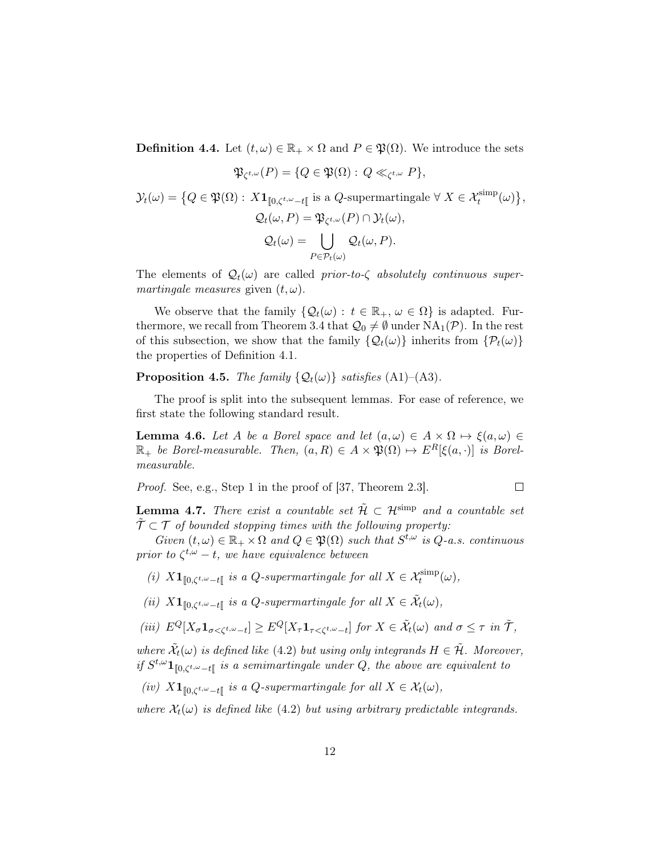**Definition 4.4.** Let  $(t, \omega) \in \mathbb{R}_+ \times \Omega$  and  $P \in \mathfrak{P}(\Omega)$ . We introduce the sets

$$
\mathfrak{P}_{\zeta^{t,\omega}}(P) = \{Q \in \mathfrak{P}(\Omega) : Q \ll_{\zeta^{t,\omega}} P\},\
$$

$$
\mathcal{Y}_t(\omega) = \big\{ Q \in \mathfrak{P}(\Omega) : X \mathbf{1}_{[0,\zeta^{t,\omega}-t[} \text{ is a } Q\text{-supermartingale } \forall X \in \mathcal{X}_t^{\text{simp}}(\omega) \big\},
$$
  

$$
\mathcal{Q}_t(\omega, P) = \mathfrak{P}_{\zeta^{t,\omega}}(P) \cap \mathcal{Y}_t(\omega),
$$
  

$$
\mathcal{Q}_t(\omega) = \bigcup_{P \in \mathcal{P}_t(\omega)} \mathcal{Q}_t(\omega, P).
$$

The elements of  $\mathcal{Q}_t(\omega)$  are called prior-to- $\zeta$  absolutely continuous supermartingale measures given  $(t, \omega)$ .

We observe that the family  $\{Q_t(\omega): t \in \mathbb{R}_+, \omega \in \Omega\}$  is adapted. Fur-thermore, we recall from Theorem [3.4](#page-6-0) that  $\mathcal{Q}_0 \neq \emptyset$  under  $NA_1(\mathcal{P})$ . In the rest of this subsection, we show that the family  $\{Q_t(\omega)\}\$ inherits from  $\{\mathcal{P}_t(\omega)\}\$ the properties of Definition [4.1.](#page-9-1)

<span id="page-11-2"></span>**Proposition 4.5.** The family  $\{Q_t(\omega)\}\$  satisfies  $(A1)$ – $(A3)$ .

The proof is split into the subsequent lemmas. For ease of reference, we first state the following standard result.

<span id="page-11-0"></span>**Lemma 4.6.** Let A be a Borel space and let  $(a, \omega) \in A \times \Omega \mapsto \xi(a, \omega) \in$  $\mathbb{R}_+$  be Borel-measurable. Then,  $(a, R) \in A \times \mathfrak{P}(\Omega) \mapsto E^R[\xi(a, \cdot)]$  is Borelmeasurable.

Proof. See, e.g., Step 1 in the proof of [\[37,](#page-30-10) Theorem 2.3].

<span id="page-11-1"></span>**Lemma 4.7.** There exist a countable set  $\tilde{\mathcal{H}} \subset \mathcal{H}^{\text{simp}}$  and a countable set  $\tilde{\mathcal{T}} \subset \mathcal{T}$  of bounded stopping times with the following property:

 $\Box$ 

Given  $(t, \omega) \in \mathbb{R}_+ \times \Omega$  and  $Q \in \mathfrak{P}(\Omega)$  such that  $S^{t, \omega}$  is  $Q$ -a.s. continuous prior to  $\zeta^{t,\omega}-t$ , we have equivalence between

- (i)  $X\mathbf{1}_{\llbracket 0,\zeta^{t,\omega}-t\llbracket}$  is a Q-supermartingale for all  $X \in \mathcal{X}_t^{\text{simp}}(\omega)$ ,
- (ii)  $X\mathbf{1}_{\llbracket 0,\zeta^{t,\omega}-t\rrbracket}$  is a Q-supermartingale for all  $X \in \tilde{\mathcal{X}}_t(\omega)$ ,

$$
(iii) \ E^Q[X_{\sigma} \mathbf{1}_{\sigma < \zeta^{t,\omega}-t}] \ge E^Q[X_{\tau} \mathbf{1}_{\tau < \zeta^{t,\omega}-t}] \text{ for } X \in \tilde{\mathcal{X}}_t(\omega) \text{ and } \sigma \le \tau \text{ in } \tilde{\mathcal{T}},
$$

where  $\tilde{\mathcal{X}}_t(\omega)$  is defined like [\(4.2\)](#page-10-0) but using only integrands  $H \in \tilde{\mathcal{H}}$ . Moreover, if  $S^{t,\omega} \mathbf{1}_{[0,\zeta^{t,\omega}-t]}$  is a semimartingale under Q, the above are equivalent to

(iv)  $X\mathbf{1}_{\llbracket 0,\zeta^{t,\omega}-t\rrbracket}$  is a Q-supermartingale for all  $X \in \mathcal{X}_t(\omega)$ ,

where  $\mathcal{X}_t(\omega)$  is defined like [\(4.2\)](#page-10-0) but using arbitrary predictable integrands.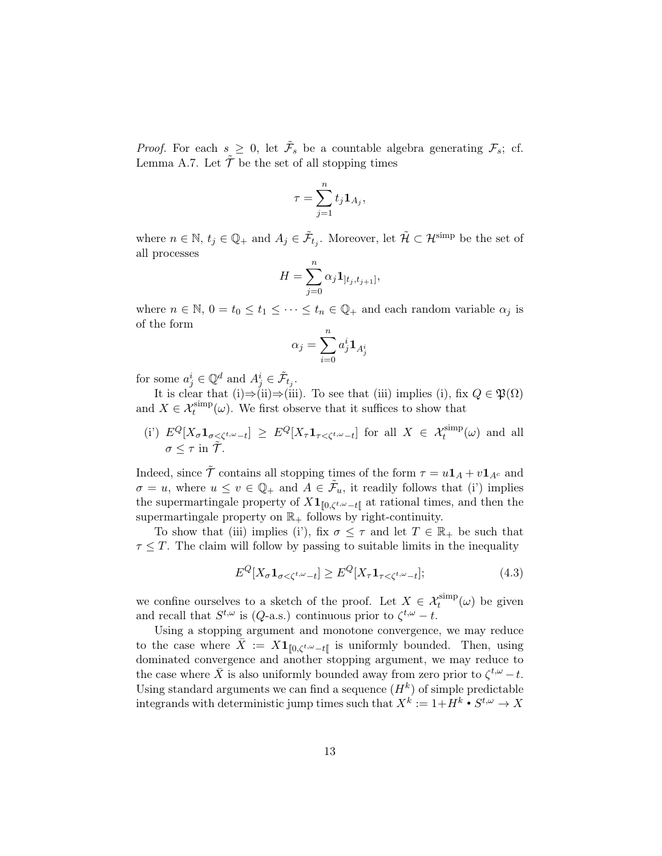*Proof.* For each  $s \geq 0$ , let  $\tilde{\mathcal{F}}_s$  be a countable algebra generating  $\mathcal{F}_s$ ; cf. Lemma [A.7.](#page-27-0) Let  $\tilde{\mathcal{T}}$  be the set of all stopping times

$$
\tau = \sum_{j=1}^n t_j \mathbf{1}_{A_j},
$$

where  $n \in \mathbb{N}$ ,  $t_j \in \mathbb{Q}_+$  and  $A_j \in \tilde{\mathcal{F}}_{t_j}$ . Moreover, let  $\tilde{\mathcal{H}} \subset \mathcal{H}^{\text{simp}}$  be the set of all processes

$$
H = \sum_{j=0}^{n} \alpha_j \mathbf{1}_{[t_j, t_{j+1}]},
$$

where  $n \in \mathbb{N}$ ,  $0 = t_0 \le t_1 \le \cdots \le t_n \in \mathbb{Q}_+$  and each random variable  $\alpha_j$  is of the form

$$
\alpha_j = \sum_{i=0}^n a_j^i \mathbf{1}_{A_j^i}
$$

for some  $a_j^i \in \mathbb{Q}^d$  and  $A_j^i \in \tilde{\mathcal{F}}_{t_j}$ .

It is clear that (i)⇒(ii)⇒(iii). To see that (iii) implies (i), fix  $Q \in \mathfrak{P}(\Omega)$ and  $X \in \mathcal{X}^{\text{simp}}_t(\omega)$ . We first observe that it suffices to show that

(i') 
$$
E^Q[X_{\sigma} \mathbf{1}_{\sigma \leq \zeta^{t,\omega}-t}] \geq E^Q[X_{\tau} \mathbf{1}_{\tau \leq \zeta^{t,\omega}-t}]
$$
 for all  $X \in \mathcal{X}_t^{\text{simp}}(\omega)$  and all  $\sigma \leq \tau$  in  $\tilde{\mathcal{T}}$ .

Indeed, since  $\tilde{\mathcal{T}}$  contains all stopping times of the form  $\tau = u\mathbf{1}_A + v\mathbf{1}_{A^c}$  and  $\sigma = u$ , where  $u \le v \in \mathbb{Q}_+$  and  $A \in \tilde{\mathcal{F}}_u$ , it readily follows that (i') implies the supermartingale property of  $X1_{[0,\zeta^{t,\omega}-t]}$  at rational times, and then the supermartingale property on  $\mathbb{R}_+$  follows by right-continuity.

To show that (iii) implies (i'), fix  $\sigma \leq \tau$  and let  $T \in \mathbb{R}_+$  be such that  $\tau \leq T$ . The claim will follow by passing to suitable limits in the inequality

<span id="page-12-0"></span>
$$
E^{Q}[X_{\sigma} \mathbf{1}_{\sigma < \zeta^{t,\omega}-t}] \geq E^{Q}[X_{\tau} \mathbf{1}_{\tau < \zeta^{t,\omega}-t}];\tag{4.3}
$$

we confine ourselves to a sketch of the proof. Let  $X \in \mathcal{X}^{\text{simp}}_t(\omega)$  be given and recall that  $S^{t,\omega}$  is (*Q*-a.s.) continuous prior to  $\zeta^{t,\omega} - t$ .

Using a stopping argument and monotone convergence, we may reduce to the case where  $\bar{X} := X\mathbf{1}_{\llbracket 0,\zeta^{t,\omega}-t\rrbracket}$  is uniformly bounded. Then, using dominated convergence and another stopping argument, we may reduce to the case where  $\bar{X}$  is also uniformly bounded away from zero prior to  $\zeta^{t,\omega} - t$ . Using standard arguments we can find a sequence  $(H<sup>k</sup>)$  of simple predictable integrands with deterministic jump times such that  $X^k := 1 + H^k \bullet S^{t,\omega} \to X$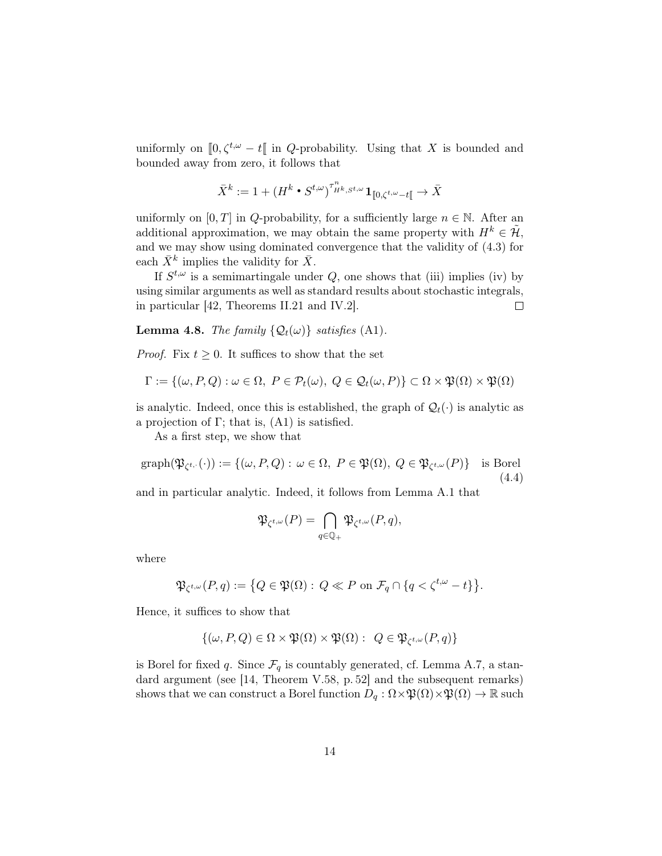uniformly on  $[0, \zeta^{t,\omega} - t]$  in Q-probability. Using that X is bounded and bounded away from zero, it follows that

$$
\bar{X}^k := 1 + {(H^k \bullet {S^{t,\omega}})}^{\tau^n_{H^k,S^{t,\omega}}} \mathbf{1}_{[\![ 0, \zeta^{t,\omega} - t[\![} \rightarrow \bar{X}
$$

uniformly on [0, T] in Q-probability, for a sufficiently large  $n \in \mathbb{N}$ . After an additional approximation, we may obtain the same property with  $H^k \in \tilde{\mathcal{H}}$ , and we may show using dominated convergence that the validity of [\(4.3\)](#page-12-0) for each  $\bar{X}^k$  implies the validity for  $\bar{X}$ .

If  $S^{t,\omega}$  is a semimartingale under  $Q$ , one shows that (iii) implies (iv) by using similar arguments as well as standard results about stochastic integrals, in particular [\[42,](#page-31-5) Theorems II.21 and IV.2].  $\Box$ 

<span id="page-13-1"></span>**Lemma 4.8.** The family  $\{Q_t(\omega)\}\$  satisfies (A1).

*Proof.* Fix  $t \geq 0$ . It suffices to show that the set

$$
\Gamma := \{(\omega, P, Q) : \omega \in \Omega, \ P \in \mathcal{P}_t(\omega), \ Q \in \mathcal{Q}_t(\omega, P)\} \subset \Omega \times \mathfrak{P}(\Omega) \times \mathfrak{P}(\Omega)
$$

is analytic. Indeed, once this is established, the graph of  $\mathcal{Q}_t(\cdot)$  is analytic as a projection of  $\Gamma$ ; that is,  $(A1)$  is satisfied.

As a first step, we show that

<span id="page-13-0"></span>
$$
\mathrm{graph}(\mathfrak{P}_{\zeta^{t,\cdot}}(\cdot)) := \{(\omega, P, Q) : \omega \in \Omega, \ P \in \mathfrak{P}(\Omega), \ Q \in \mathfrak{P}_{\zeta^{t,\omega}}(P)\} \quad \text{is Borel} \tag{4.4}
$$

and in particular analytic. Indeed, it follows from Lemma [A.1](#page-24-1) that

$$
\mathfrak{P}_{\zeta^{t,\omega}}(P)=\bigcap_{q\in\mathbb{Q}_+}\mathfrak{P}_{\zeta^{t,\omega}}(P,q),
$$

where

$$
\mathfrak{P}_{\zeta^{t,\omega}}(P,q):=\big\{Q\in\mathfrak{P}(\Omega):\,Q\ll P\text{ on }\mathcal{F}_q\cap\{q<\zeta^{t,\omega}-t\}\big\}.
$$

Hence, it suffices to show that

$$
\{(\omega, P, Q) \in \Omega \times \mathfrak{P}(\Omega) \times \mathfrak{P}(\Omega) : Q \in \mathfrak{P}_{\zeta^{t,\omega}}(P, q)\}
$$

is Borel for fixed q. Since  $\mathcal{F}_q$  is countably generated, cf. Lemma [A.7,](#page-27-0) a standard argument (see [\[14,](#page-29-14) Theorem V.58, p. 52] and the subsequent remarks) shows that we can construct a Borel function  $D_q : \Omega \times \mathfrak{P}(\Omega) \times \mathfrak{P}(\Omega) \to \mathbb{R}$  such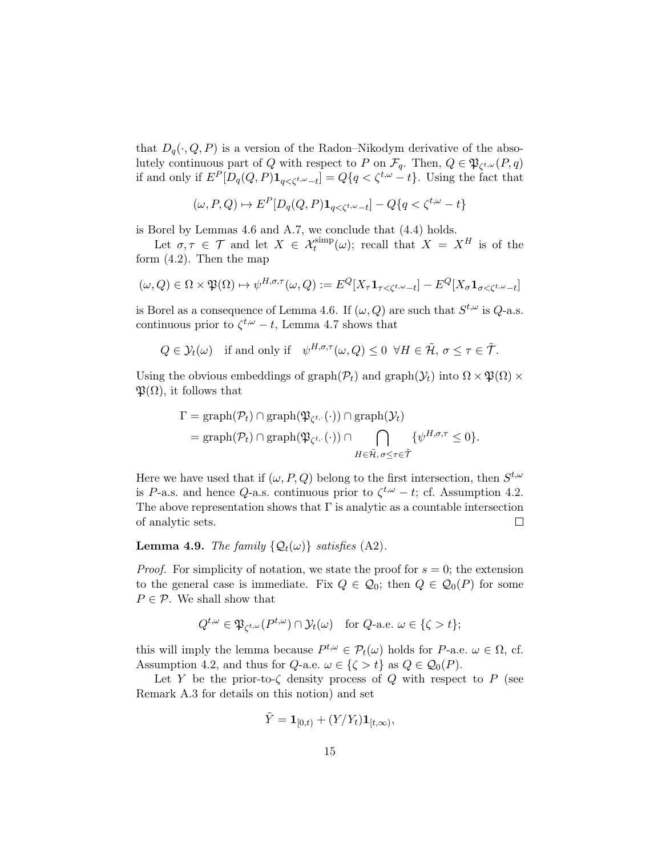that  $D_q(\cdot, Q, P)$  is a version of the Radon–Nikodym derivative of the absolutely continuous part of Q with respect to P on  $\mathcal{F}_q$ . Then,  $Q \in \mathfrak{P}_{\zeta^{t,\omega}}(P,q)$ if and only if  $E^P[D_q(Q, P) \mathbf{1}_{q < \zeta^{t,\omega}-t}] = Q\{q < \zeta^{t,\omega} - t\}$ . Using the fact that

$$
(\omega, P, Q) \mapsto E^P[D_q(Q, P) \mathbf{1}_{q < \zeta^{t, \omega} - t}] - Q\{q < \zeta^{t, \omega} - t\}
$$

is Borel by Lemmas [4.6](#page-11-0) and [A.7,](#page-27-0) we conclude that [\(4.4\)](#page-13-0) holds.

Let  $\sigma, \tau \in \mathcal{T}$  and let  $X \in \mathcal{X}_t^{\text{simp}}(\omega)$ ; recall that  $X = X^H$  is of the form [\(4.2\)](#page-10-0). Then the map

$$
(\omega, Q) \in \Omega \times \mathfrak{P}(\Omega) \mapsto \psi^{H, \sigma, \tau}(\omega, Q) := E^{Q}[X_{\tau} \mathbf{1}_{\tau < \zeta^{t, \omega} - t}] - E^{Q}[X_{\sigma} \mathbf{1}_{\sigma < \zeta^{t, \omega} - t}]
$$

is Borel as a consequence of Lemma [4.6.](#page-11-0) If  $(\omega, Q)$  are such that  $S^{t, \omega}$  is  $Q$ -a.s. continuous prior to  $\zeta^{t,\omega} - t$ , Lemma [4.7](#page-11-1) shows that

$$
Q \in \mathcal{Y}_t(\omega)
$$
 if and only if  $\psi^{H,\sigma,\tau}(\omega,Q) \leq 0 \ \forall H \in \tilde{\mathcal{H}}, \sigma \leq \tau \in \tilde{\mathcal{T}}.$ 

Using the obvious embeddings of graph $(\mathcal{P}_t)$  and graph $(\mathcal{Y}_t)$  into  $\Omega \times \mathfrak{P}(\Omega) \times$  $\mathfrak{P}(\Omega)$ , it follows that

$$
\Gamma = \text{graph}(\mathcal{P}_t) \cap \text{graph}(\mathfrak{P}_{\zeta^{t,\cdot}}(\cdot)) \cap \text{graph}(\mathcal{Y}_t)
$$
  
= 
$$
\text{graph}(\mathcal{P}_t) \cap \text{graph}(\mathfrak{P}_{\zeta^{t,\cdot}}(\cdot)) \cap \bigcap_{H \in \tilde{\mathcal{H}}, \sigma \leq \tau \in \tilde{\mathcal{T}}} {\psi^{H, \sigma, \tau} \leq 0}.
$$

Here we have used that if  $(\omega, P, Q)$  belong to the first intersection, then  $S^{t,\omega}$ is P-a.s. and hence Q-a.s. continuous prior to  $\zeta^{t,\omega} - t$ ; cf. Assumption [4.2.](#page-10-1) The above representation shows that  $\Gamma$  is analytic as a countable intersection of analytic sets.  $\Box$ 

## **Lemma 4.9.** The family  $\{Q_t(\omega)\}\$  satisfies (A2).

*Proof.* For simplicity of notation, we state the proof for  $s = 0$ ; the extension to the general case is immediate. Fix  $Q \in \mathcal{Q}_0$ ; then  $Q \in \mathcal{Q}_0(P)$  for some  $P \in \mathcal{P}$ . We shall show that

$$
Q^{t,\omega} \in \mathfrak{P}_{\zeta^{t,\omega}}(P^{t,\omega}) \cap \mathcal{Y}_t(\omega) \quad \text{for } Q\text{-a.e. } \omega \in \{\zeta > t\};
$$

this will imply the lemma because  $P^{t,\omega} \in \mathcal{P}_t(\omega)$  holds for P-a.e.  $\omega \in \Omega$ , cf. Assumption [4.2,](#page-10-1) and thus for  $Q$ -a.e.  $\omega \in \{\zeta > t\}$  as  $Q \in \mathcal{Q}_0(P)$ .

Let Y be the prior-to- $\zeta$  density process of Q with respect to P (see Remark [A.3](#page-25-2) for details on this notion) and set

$$
\tilde{Y} = \mathbf{1}_{[0,t)} + (Y/Y_t)\mathbf{1}_{[t,\infty)},
$$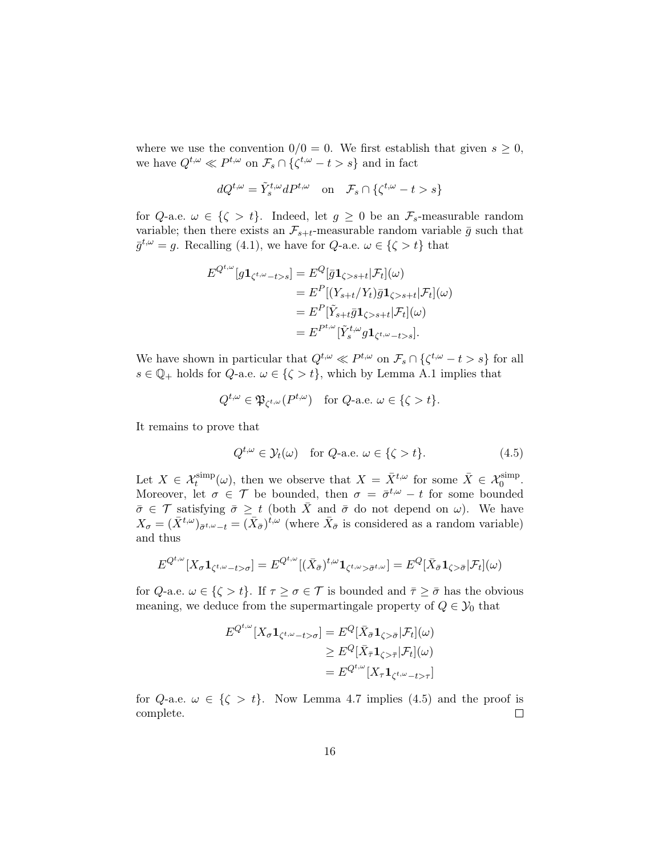where we use the convention  $0/0 = 0$ . We first establish that given  $s \geq 0$ , we have  $Q^{t,\omega} \ll P^{t,\omega}$  on  $\mathcal{F}_s \cap {\{\zeta^{t,\omega} - t > s\}}$  and in fact

$$
dQ^{t,\omega} = \tilde{Y}_s^{t,\omega} dP^{t,\omega} \quad \text{on} \quad \mathcal{F}_s \cap \{\zeta^{t,\omega} - t > s\}
$$

for Q-a.e.  $\omega \in \{\zeta > t\}$ . Indeed, let  $g \ge 0$  be an  $\mathcal{F}_s$ -measurable random variable; then there exists an  $\mathcal{F}_{s+t}$ -measurable random variable  $\bar{g}$  such that  $\bar{g}^{t,\omega} = g$ . Recalling [\(4.1\)](#page-9-2), we have for  $Q$ -a.e.  $\omega \in \{\zeta > t\}$  that

$$
E^{Q^{t,\omega}}[g\mathbf{1}_{\zeta^{t,\omega}-t>s}] = E^Q[\bar{g}\mathbf{1}_{\zeta>s+t}|\mathcal{F}_t](\omega)
$$
  
\n
$$
= E^P[(Y_{s+t}/Y_t)\bar{g}\mathbf{1}_{\zeta>s+t}|\mathcal{F}_t](\omega)
$$
  
\n
$$
= E^P[\tilde{Y}_{s+t}\bar{g}\mathbf{1}_{\zeta>s+t}|\mathcal{F}_t](\omega)
$$
  
\n
$$
= E^{P^{t,\omega}}[\tilde{Y}_s^{t,\omega}g\mathbf{1}_{\zeta^{t,\omega}-t>s}].
$$

We have shown in particular that  $Q^{t,\omega} \ll P^{t,\omega}$  on  $\mathcal{F}_s \cap {\{\zeta^{t,\omega} - t > s\}}$  for all  $s \in \mathbb{Q}_+$  holds for  $Q$ -a.e.  $\omega \in \{\zeta > t\}$ , which by Lemma [A.1](#page-24-1) implies that

$$
Q^{t,\omega} \in \mathfrak{P}_{\zeta^{t,\omega}}(P^{t,\omega}) \quad \text{for } Q\text{-a.e. } \omega \in \{\zeta > t\}.
$$

It remains to prove that

<span id="page-15-0"></span>
$$
Q^{t,\omega} \in \mathcal{Y}_t(\omega) \quad \text{for } Q\text{-a.e. } \omega \in \{\zeta > t\}. \tag{4.5}
$$

Let  $X \in \mathcal{X}_t^{\text{simp}}(\omega)$ , then we observe that  $X = \overline{X}^{t,\omega}$  for some  $\overline{X} \in \mathcal{X}_0^{\text{simp}}$ . Moreover, let  $\sigma \in \mathcal{T}$  be bounded, then  $\sigma = \bar{\sigma}^{t,\omega} - t$  for some bounded  $\bar{\sigma} \in \mathcal{T}$  satisfying  $\bar{\sigma} \geq t$  (both  $\bar{X}$  and  $\bar{\sigma}$  do not depend on  $\omega$ ). We have  $X_{\sigma} = (\bar{X}^{t,\omega})_{\bar{\sigma}^{t,\omega}-t} = (\bar{X}_{\bar{\sigma}})^{t,\omega}$  (where  $\bar{X}_{\bar{\sigma}}$  is considered as a random variable) and thus

$$
E^{Q^{t,\omega}}[X_{\sigma}\mathbf{1}_{\zeta^{t,\omega}-t>\sigma}]=E^{Q^{t,\omega}}[(\bar{X}_{\bar{\sigma}})^{t,\omega}\mathbf{1}_{\zeta^{t,\omega}>\bar{\sigma}^{t,\omega}}]=E^{Q}[\bar{X}_{\bar{\sigma}}\mathbf{1}_{\zeta>\bar{\sigma}}|\mathcal{F}_{t}](\omega)
$$

for Q-a.e.  $\omega \in \{\zeta > t\}$ . If  $\tau \geq \sigma \in \mathcal{T}$  is bounded and  $\bar{\tau} \geq \bar{\sigma}$  has the obvious meaning, we deduce from the supermartingale property of  $Q \in \mathcal{Y}_0$  that

$$
E^{Q^{t,\omega}}[X_{\sigma}\mathbf{1}_{\zeta^{t,\omega}-t>\sigma}] = E^{Q}[\bar{X}_{\bar{\sigma}}\mathbf{1}_{\zeta>\bar{\sigma}}|\mathcal{F}_{t}](\omega)
$$
  
\n
$$
\geq E^{Q}[\bar{X}_{\bar{\tau}}\mathbf{1}_{\zeta>\bar{\tau}}|\mathcal{F}_{t}](\omega)
$$
  
\n
$$
= E^{Q^{t,\omega}}[X_{\tau}\mathbf{1}_{\zeta^{t,\omega}-t>\tau}]
$$

for Q-a.e.  $\omega \in \{\zeta > t\}$ . Now Lemma [4.7](#page-11-1) implies [\(4.5\)](#page-15-0) and the proof is complete.  $\Box$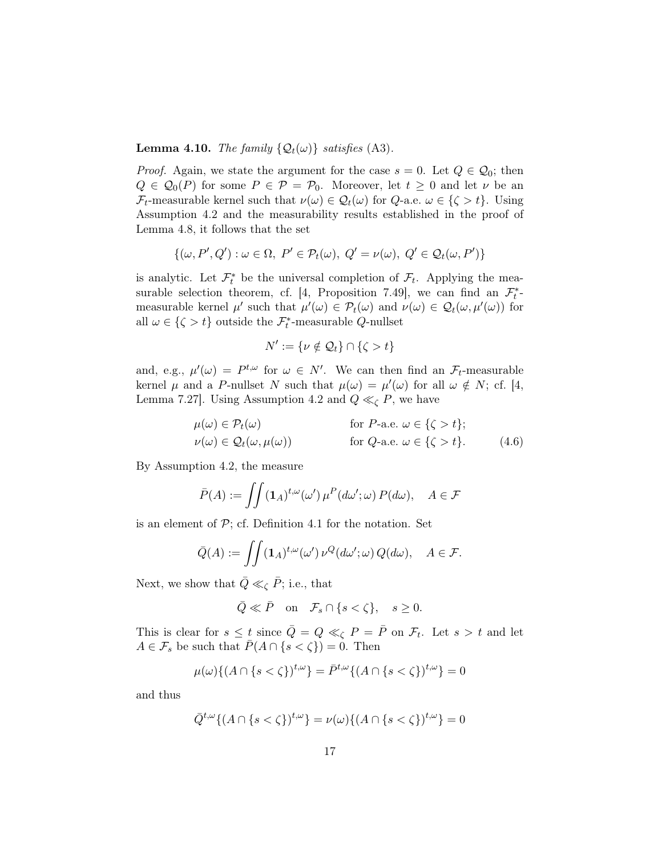**Lemma 4.10.** The family  $\{Q_t(\omega)\}\$  satisfies (A3).

*Proof.* Again, we state the argument for the case  $s = 0$ . Let  $Q \in \mathcal{Q}_0$ ; then  $Q \in \mathcal{Q}_0(P)$  for some  $P \in \mathcal{P} = \mathcal{P}_0$ . Moreover, let  $t \geq 0$  and let  $\nu$  be an  $\mathcal{F}_t$ -measurable kernel such that  $\nu(\omega) \in \mathcal{Q}_t(\omega)$  for  $Q$ -a.e.  $\omega \in {\{\zeta > t\}}$ . Using Assumption [4.2](#page-10-1) and the measurability results established in the proof of Lemma [4.8,](#page-13-1) it follows that the set

$$
\{(\omega, P', Q') : \omega \in \Omega, P' \in \mathcal{P}_t(\omega), Q' = \nu(\omega), Q' \in \mathcal{Q}_t(\omega, P')\}
$$

is analytic. Let  $\mathcal{F}_t^*$  be the universal completion of  $\mathcal{F}_t$ . Applying the mea-surable selection theorem, cf. [\[4,](#page-28-4) Proposition 7.49], we can find an  $\mathcal{F}_{t}^{*}$ measurable kernel  $\mu'$  such that  $\mu'(\omega) \in \mathcal{P}_t(\omega)$  and  $\nu(\omega) \in \mathcal{Q}_t(\omega, \mu'(\omega))$  for all  $\omega \in {\zeta > t}$  outside the  $\mathcal{F}_t^*$ -measurable Q-nullset

<span id="page-16-0"></span>
$$
N' := \{ \nu \notin \mathcal{Q}_t \} \cap \{ \zeta > t \}
$$

and, e.g.,  $\mu'(\omega) = P^{t,\omega}$  for  $\omega \in N'$ . We can then find an  $\mathcal{F}_t$ -measurable kernel  $\mu$  and a P-nullset N such that  $\mu(\omega) = \mu'(\omega)$  for all  $\omega \notin N$ ; cf. [\[4,](#page-28-4) Lemma 7.27]. Using Assumption [4.2](#page-10-1) and  $Q \ll_{\zeta} P$ , we have

$$
\mu(\omega) \in \mathcal{P}_t(\omega) \quad \text{for } P\text{-a.e. } \omega \in \{\zeta > t\};
$$
  

$$
\nu(\omega) \in \mathcal{Q}_t(\omega, \mu(\omega)) \quad \text{for } Q\text{-a.e. } \omega \in \{\zeta > t\}. \quad (4.6)
$$

By Assumption [4.2,](#page-10-1) the measure

$$
\bar{P}(A) := \iint (\mathbf{1}_A)^{t,\omega} (\omega') \,\mu^P(d\omega';\omega) \, P(d\omega), \quad A \in \mathcal{F}
$$

is an element of  $\mathcal{P}$ ; cf. Definition [4.1](#page-9-1) for the notation. Set

$$
\bar{Q}(A) := \iint (\mathbf{1}_A)^{t,\omega} (\omega') \, \nu^Q(d\omega';\omega) \, Q(d\omega), \quad A \in \mathcal{F}.
$$

Next, we show that  $\overline{Q} \ll_{\zeta} \overline{P}$ ; i.e., that

$$
\bar{Q} \ll \bar{P} \quad \text{on} \quad \mathcal{F}_s \cap \{ s < \zeta \}, \quad s \ge 0.
$$

This is clear for  $s \leq t$  since  $\overline{Q} = Q \ll_{\zeta} P = \overline{P}$  on  $\mathcal{F}_t$ . Let  $s > t$  and let  $A \in \mathcal{F}_s$  be such that  $\bar{P}(A \cap \{s < \zeta\}) = 0$ . Then

$$
\mu(\omega)\{(A \cap \{s < \zeta\})^{t,\omega}\} = \bar{P}^{t,\omega}\{(A \cap \{s < \zeta\})^{t,\omega}\} = 0
$$

and thus

$$
\overline{Q}^{t,\omega}\{(A\cap\{s<\zeta\})^{t,\omega}\}=\nu(\omega)\{(A\cap\{s<\zeta\})^{t,\omega}\}=0
$$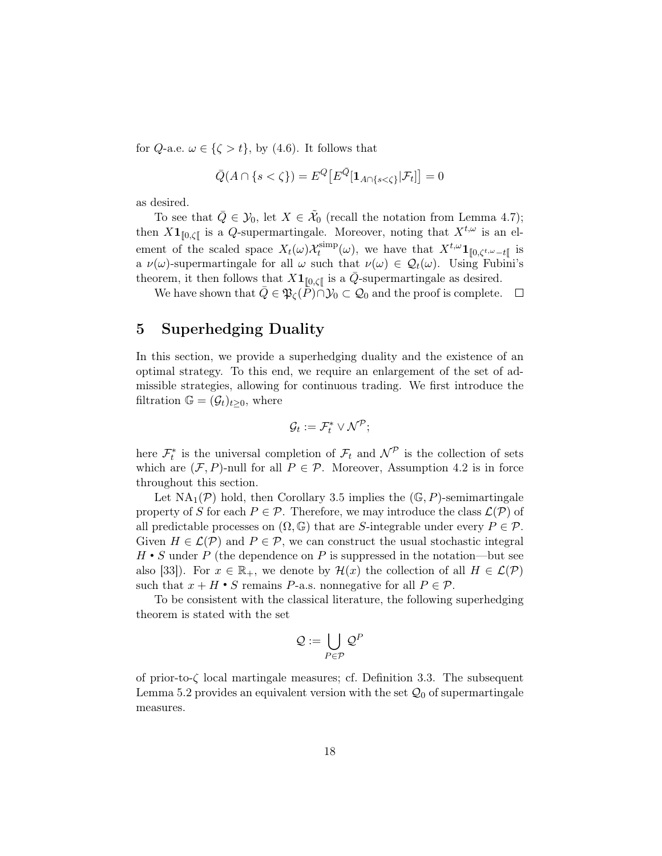for Q-a.e.  $\omega \in \{\zeta > t\}$ , by [\(4.6\)](#page-16-0). It follows that

$$
\bar{Q}(A \cap \{s < \zeta\}) = E^Q \big[ E^{\bar{Q}} \big[ \mathbf{1}_{A \cap \{s < \zeta\}} | \mathcal{F}_t \big] \big] = 0
$$

as desired.

To see that  $\overline{Q} \in \mathcal{Y}_0$ , let  $X \in \widetilde{\mathcal{X}}_0$  (recall the notation from Lemma [4.7\)](#page-11-1); then  $X\mathbf{1}_{[0,\zeta[}$  is a Q-supermartingale. Moreover, noting that  $X^{t,\omega}$  is an element of the scaled space  $X_t(\omega) \mathcal{X}_t^{\text{simp}}$  $t_t^{\text{simp}}(\omega)$ , we have that  $X^{t,\omega}\mathbf{1}_{\llbracket 0,\zeta^{t,\omega}-t\llbracket}$  is a  $\nu(\omega)$ -supermartingale for all  $\omega$  such that  $\nu(\omega) \in \mathcal{Q}_t(\omega)$ . Using Fubini's theorem, it then follows that  $X\mathbf{1}_{\llbracket 0,\zeta\llbracket}$  is a  $\bar{Q}$ -supermartingale as desired.

We have shown that  $\overline{Q} \in \mathfrak{P}_\zeta(\overline{P}) \cap \mathcal{Y}_0 \subset \mathcal{Q}_0$  and the proof is complete.  $\Box$ 

# <span id="page-17-0"></span>5 Superhedging Duality

In this section, we provide a superhedging duality and the existence of an optimal strategy. To this end, we require an enlargement of the set of admissible strategies, allowing for continuous trading. We first introduce the filtration  $\mathbb{G} = (\mathcal{G}_t)_{t>0}$ , where

$$
\mathcal{G}_t := \mathcal{F}_t^* \vee \mathcal{N}^{\mathcal{P}};
$$

here  $\mathcal{F}_t^*$  is the universal completion of  $\mathcal{F}_t$  and  $\mathcal{N}^{\mathcal{P}}$  is the collection of sets which are  $(\mathcal{F}, P)$ -null for all  $P \in \mathcal{P}$ . Moreover, Assumption [4.2](#page-10-1) is in force throughout this section.

Let  $NA_1(\mathcal{P})$  hold, then Corollary [3.5](#page-6-1) implies the  $(\mathbb{G}, P)$ -semimartingale property of S for each  $P \in \mathcal{P}$ . Therefore, we may introduce the class  $\mathcal{L}(\mathcal{P})$  of all predictable processes on  $(\Omega, \mathbb{G})$  that are S-integrable under every  $P \in \mathcal{P}$ . Given  $H \in \mathcal{L}(\mathcal{P})$  and  $P \in \mathcal{P}$ , we can construct the usual stochastic integral  $H \cdot S$  under P (the dependence on P is suppressed in the notation—but see also [\[33\]](#page-30-12)). For  $x \in \mathbb{R}_+$ , we denote by  $\mathcal{H}(x)$  the collection of all  $H \in \mathcal{L}(\mathcal{P})$ such that  $x + H \cdot S$  remains P-a.s. nonnegative for all  $P \in \mathcal{P}$ .

To be consistent with the classical literature, the following superhedging theorem is stated with the set

$$
\mathcal{Q}:=\bigcup_{P\in\mathcal{P}}\mathcal{Q}^P
$$

of prior-to-ζ local martingale measures; cf. Definition [3.3.](#page-5-0) The subsequent Lemma [5.2](#page-18-1) provides an equivalent version with the set  $\mathcal{Q}_0$  of supermartingale measures.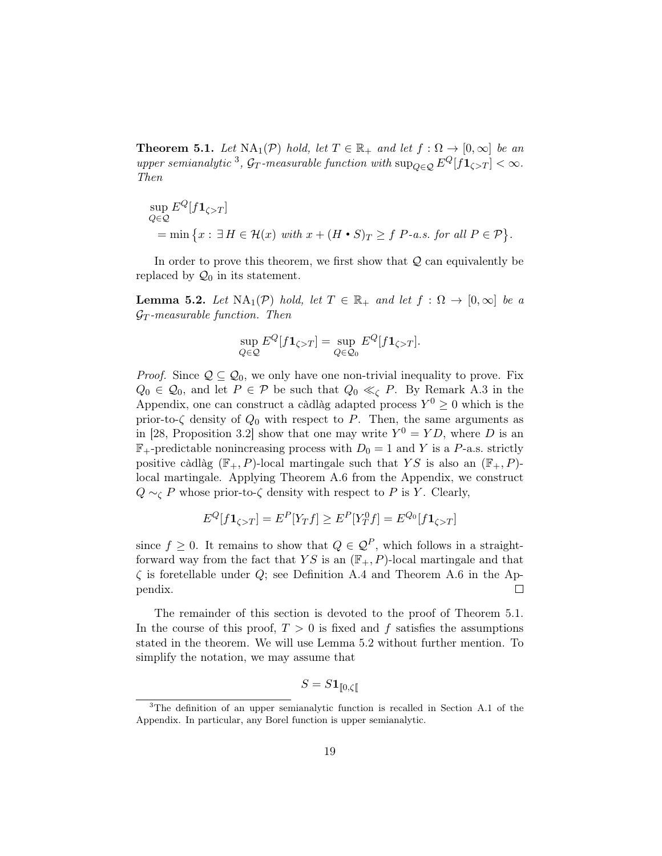<span id="page-18-0"></span>**Theorem 5.1.** Let  $NA_1(\mathcal{P})$  hold, let  $T \in \mathbb{R}_+$  and let  $f : \Omega \to [0, \infty]$  be an upper semianalytic <sup>[3](#page-18-2)</sup>,  $\mathcal{G}_T$ -measurable function with  $\sup_{Q \in \mathcal{Q}} E^Q[f \mathbf{1}_{\zeta>T}] < \infty$ . Then

$$
\sup_{Q \in \mathcal{Q}} E^{Q}[f \mathbf{1}_{\zeta > T}]
$$
  
= min  $\{x : \exists H \in \mathcal{H}(x) \text{ with } x + (H \cdot S)_{T} \ge f \text{ } P\text{-}a.s. \text{ for all } P \in \mathcal{P} \}.$ 

In order to prove this theorem, we first show that  $Q$  can equivalently be replaced by  $\mathcal{Q}_0$  in its statement.

<span id="page-18-1"></span>**Lemma 5.2.** Let  $NA_1(\mathcal{P})$  hold, let  $T \in \mathbb{R}_+$  and let  $f : \Omega \to [0, \infty]$  be a  $\mathcal{G}_T$ -measurable function. Then

$$
\sup_{Q \in \mathcal{Q}} E^Q[f \mathbf{1}_{\zeta > T}] = \sup_{Q \in \mathcal{Q}_0} E^Q[f \mathbf{1}_{\zeta > T}].
$$

*Proof.* Since  $Q \subseteq Q_0$ , we only have one non-trivial inequality to prove. Fix  $Q_0 \in \mathcal{Q}_0$ , and let  $P \in \mathcal{P}$  be such that  $Q_0 \ll_{\zeta} P$ . By Remark [A.3](#page-25-2) in the Appendix, one can construct a càdlàg adapted process  $Y^0 \geq 0$  which is the prior-to- $\zeta$  density of  $Q_0$  with respect to P. Then, the same arguments as in [\[28,](#page-30-13) Proposition 3.2] show that one may write  $Y^0 = YD$ , where D is an  $\mathbb{F}_{+}$ -predictable nonincreasing process with  $D_0 = 1$  and Y is a P-a.s. strictly positive càdlàg  $(\mathbb{F}_{+}, P)$ -local martingale such that YS is also an  $(\mathbb{F}_{+}, P)$ local martingale. Applying Theorem [A.6](#page-26-0) from the Appendix, we construct  $Q \sim_\zeta P$  whose prior-to- $\zeta$  density with respect to P is Y. Clearly,

$$
E^{Q}[f\mathbf{1}_{\zeta>T}] = E^{P}[Y_T f] \ge E^{P}[Y_T^0 f] = E^{Q_0}[f\mathbf{1}_{\zeta>T}]
$$

since  $f \geq 0$ . It remains to show that  $Q \in \mathcal{Q}^P$ , which follows in a straightforward way from the fact that YS is an  $(\mathbb{F}_{+}, P)$ -local martingale and that  $\zeta$  is foretellable under Q; see Definition [A.4](#page-25-0) and Theorem [A.6](#page-26-0) in the Ap- $\Box$ pendix.

The remainder of this section is devoted to the proof of Theorem [5.1.](#page-18-0) In the course of this proof,  $T > 0$  is fixed and f satisfies the assumptions stated in the theorem. We will use Lemma [5.2](#page-18-1) without further mention. To simplify the notation, we may assume that

$$
S = S\mathbf{1}_{\llbracket 0,\zeta\rrbracket}
$$

<span id="page-18-2"></span><sup>3</sup>The definition of an upper semianalytic function is recalled in Section [A.1](#page-23-0) of the Appendix. In particular, any Borel function is upper semianalytic.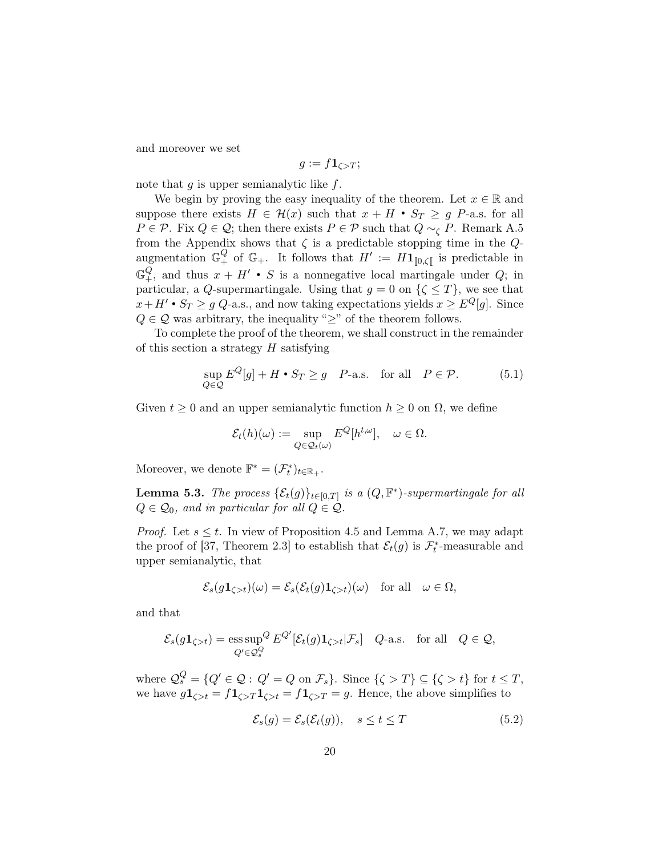and moreover we set

$$
g:=f\mathbf{1}_{\zeta>T};
$$

note that  $g$  is upper semianalytic like  $f$ .

We begin by proving the easy inequality of the theorem. Let  $x \in \mathbb{R}$  and suppose there exists  $H \in \mathcal{H}(x)$  such that  $x + H \bullet S_T \geq g$  P-a.s. for all  $P \in \mathcal{P}$ . Fix  $Q \in \mathcal{Q}$ ; then there exists  $P \in \mathcal{P}$  such that  $Q \sim_{\zeta} P$ . Remark [A.5](#page-25-3) from the Appendix shows that  $\zeta$  is a predictable stopping time in the  $Q$ augmentation  $\mathbb{G}^Q_+$  of  $\mathbb{G}_+$ . It follows that  $H' := H1_{[0,\zeta[}$  is predictable in  $\mathbb{G}^Q_+$ , and thus  $x + H' \bullet S$  is a nonnegative local martingale under Q; in particular, a Q-supermartingale. Using that  $g = 0$  on  $\{\zeta \leq T\}$ , we see that  $x+H' \bullet S_T \geq g \ Q$ -a.s., and now taking expectations yields  $x \geq E^Q[g]$ . Since  $Q\in\mathcal{Q}$  was arbitrary, the inequality " $\geq$  " of the theorem follows.

To complete the proof of the theorem, we shall construct in the remainder of this section a strategy  $H$  satisfying

<span id="page-19-2"></span>
$$
\sup_{Q \in \mathcal{Q}} E^Q[g] + H \bullet S_T \ge g \quad P\text{-a.s.} \quad \text{for all} \quad P \in \mathcal{P}. \tag{5.1}
$$

Given  $t \geq 0$  and an upper semianalytic function  $h \geq 0$  on  $\Omega$ , we define

$$
\mathcal{E}_t(h)(\omega) := \sup_{Q \in \mathcal{Q}_t(\omega)} E^Q[h^{t,\omega}], \quad \omega \in \Omega.
$$

Moreover, we denote  $\mathbb{F}^* = (\mathcal{F}_t^*)_{t \in \mathbb{R}_+}.$ 

<span id="page-19-1"></span>**Lemma 5.3.** The process  $\{\mathcal{E}_t(g)\}_{t\in[0,T]}$  is a  $(Q, \mathbb{F}^*)$ -supermartingale for all  $Q \in \mathcal{Q}_0$ , and in particular for all  $Q \in \mathcal{Q}$ .

*Proof.* Let  $s \leq t$ . In view of Proposition [4.5](#page-11-2) and Lemma [A.7,](#page-27-0) we may adapt the proof of [\[37,](#page-30-10) Theorem 2.3] to establish that  $\mathcal{E}_t(g)$  is  $\mathcal{F}_t^*$ -measurable and upper semianalytic, that

$$
\mathcal{E}_s(g\mathbf{1}_{\zeta>t})(\omega) = \mathcal{E}_s(\mathcal{E}_t(g)\mathbf{1}_{\zeta>t})(\omega) \quad \text{for all} \quad \omega \in \Omega,
$$

and that

$$
\mathcal{E}_s(g\mathbf{1}_{\zeta>t}) = \underset{Q' \in \mathcal{Q}_s^Q}{\text{ess sup}} \,^Q E^{Q'}[\mathcal{E}_t(g)\mathbf{1}_{\zeta>t}|\mathcal{F}_s] \quad Q\text{-a.s.} \quad \text{for all} \quad Q \in \mathcal{Q},
$$

where  $\mathcal{Q}_s^Q = \{Q' \in \mathcal{Q} : Q' = Q \text{ on } \mathcal{F}_s\}$ . Since  $\{\zeta > T\} \subseteq \{\zeta > t\}$  for  $t \leq T$ , we have  $g1_{\zeta>t} = f1_{\zeta>t} = f1_{\zeta>t} = f1_{\zeta>t} = g$ . Hence, the above simplifies to

<span id="page-19-0"></span>
$$
\mathcal{E}_s(g) = \mathcal{E}_s(\mathcal{E}_t(g)), \quad s \le t \le T \tag{5.2}
$$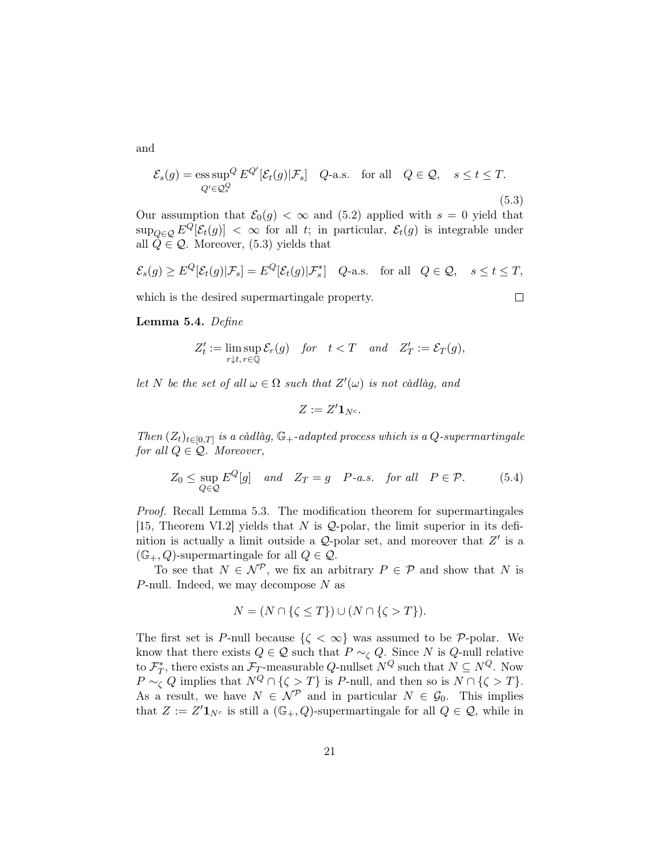and

<span id="page-20-0"></span>
$$
\mathcal{E}_s(g) = \underset{Q' \in \mathcal{Q}_s^Q}{\text{ess sup}} \, \mathcal{E}^{Q'}[\mathcal{E}_t(g)|\mathcal{F}_s] \quad Q\text{-a.s.} \quad \text{for all} \quad Q \in \mathcal{Q}, \quad s \le t \le T. \tag{5.3}
$$

Our assumption that  $\mathcal{E}_0(g) < \infty$  and [\(5.2\)](#page-19-0) applied with  $s = 0$  yield that  $\sup_{Q\in\mathcal{Q}} E^Q[\mathcal{E}_t(g)] < \infty$  for all t; in particular,  $\mathcal{E}_t(g)$  is integrable under all  $\dot{Q} \in \mathcal{Q}$ . Moreover, [\(5.3\)](#page-20-0) yields that

$$
\mathcal{E}_s(g) \ge E^Q[\mathcal{E}_t(g)|\mathcal{F}_s] = E^Q[\mathcal{E}_t(g)|\mathcal{F}_s^*] \quad Q\text{-a.s.} \quad \text{for all} \quad Q \in \mathcal{Q}, \quad s \le t \le T,
$$

 $\Box$ 

which is the desired supermartingale property.

#### <span id="page-20-2"></span>Lemma 5.4. Define

$$
Z'_t:=\limsup_{r\downarrow t,\,r\in\mathbb{Q}}\mathcal{E}_r(g)\quad\text{for}\quad t
$$

let N be the set of all  $\omega \in \Omega$  such that  $Z'(\omega)$  is not càdlàg, and

$$
Z:=Z'{\bf 1}_{N^c}.
$$

Then  $(Z_t)_{t\in[0,T]}$  is a càdlàg,  $\mathbb{G}_+$ -adapted process which is a Q-supermartingale for all  $Q \in \mathcal{Q}$ . Moreover,

<span id="page-20-1"></span>
$$
Z_0 \le \sup_{Q \in \mathcal{Q}} E^Q[g] \quad and \quad Z_T = g \quad P-a.s. \quad \text{for all} \quad P \in \mathcal{P}. \tag{5.4}
$$

Proof. Recall Lemma [5.3.](#page-19-1) The modification theorem for supermartingales [\[15,](#page-29-15) Theorem VI.2] yields that N is  $Q$ -polar, the limit superior in its definition is actually a limit outside a  $Q$ -polar set, and moreover that  $Z'$  is a  $(\mathbb{G}_{+}, Q)$ -supermartingale for all  $Q \in \mathcal{Q}$ .

To see that  $N \in \mathcal{N}^{\mathcal{P}}$ , we fix an arbitrary  $P \in \mathcal{P}$  and show that N is P-null. Indeed, we may decompose  $N$  as

$$
N = (N \cap \{\zeta \le T\}) \cup (N \cap \{\zeta > T\}).
$$

The first set is P-null because  $\{\zeta < \infty\}$  was assumed to be P-polar. We know that there exists  $Q \in \mathcal{Q}$  such that  $P \sim_{\zeta} Q$ . Since N is Q-null relative to  $\mathcal{F}_T^*$ , there exists an  $\mathcal{F}_T$ -measurable Q-nullset  $N^Q$  such that  $N \subseteq N^Q$ . Now  $P \sim_{\zeta} Q$  implies that  $N^Q \cap {\zeta > T}$  is P-null, and then so is  $N \cap {\zeta > T}$ . As a result, we have  $N \in \mathcal{N}^{\mathcal{P}}$  and in particular  $N \in \mathcal{G}_0$ . This implies that  $Z := Z' \mathbf{1}_{N^c}$  is still a  $(\mathbb{G}_+, Q)$ -supermartingale for all  $Q \in \mathcal{Q}$ , while in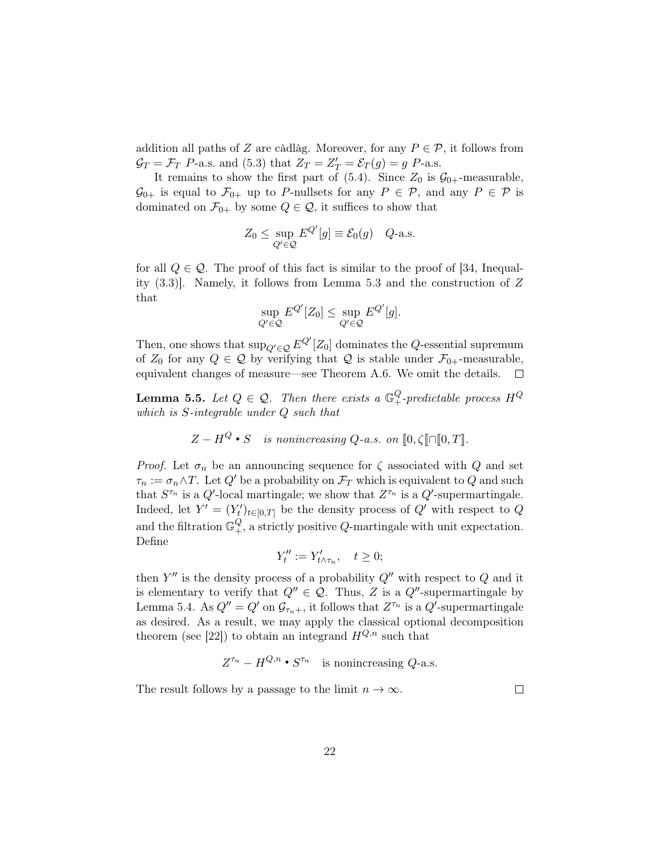addition all paths of Z are càdlàg. Moreover, for any  $P \in \mathcal{P}$ , it follows from  $\mathcal{G}_T = \mathcal{F}_T$  P-a.s. and [\(5.3\)](#page-20-0) that  $Z_T = Z'_T = \mathcal{E}_T(g) = g$  P-a.s.

It remains to show the first part of  $(5.4)$ . Since  $Z_0$  is  $\mathcal{G}_{0+}$ -measurable,  $\mathcal{G}_{0+}$  is equal to  $\mathcal{F}_{0+}$  up to P-nullsets for any  $P \in \mathcal{P}$ , and any  $P \in \mathcal{P}$  is dominated on  $\mathcal{F}_{0+}$  by some  $Q \in \mathcal{Q}$ , it suffices to show that

$$
Z_0 \le \sup_{Q' \in \mathcal{Q}} E^{Q'}[g] \equiv \mathcal{E}_0(g) \quad Q\text{-a.s.}
$$

for all  $Q \in \mathcal{Q}$ . The proof of this fact is similar to the proof of [\[34,](#page-30-1) Inequality (3.3)]. Namely, it follows from Lemma [5.3](#page-19-1) and the construction of Z that

$$
\sup_{Q' \in \mathcal{Q}} E^{Q'}[Z_0] \le \sup_{Q' \in \mathcal{Q}} E^{Q'}[g].
$$

Then, one shows that  $\sup_{Q' \in \mathcal{Q}} E^{Q'}[Z_0]$  dominates the Q-essential supremum of  $Z_0$  for any  $Q \in \mathcal{Q}$  by verifying that  $\mathcal Q$  is stable under  $\mathcal{F}_{0+}$ -measurable, equivalent changes of measure—see Theorem [A.6.](#page-26-0) We omit the details.  $\Box$ 

<span id="page-21-0"></span>**Lemma 5.5.** Let  $Q \in \mathcal{Q}$ . Then there exists a  $\mathbb{G}^Q_+$ -predictable process  $H^Q$ which is S-integrable under Q such that

$$
Z - H^Q \cdot S
$$
 is nonincreasing Q-a.s. on  $[0, \zeta] \cap [0, T].$ 

*Proof.* Let  $\sigma_n$  be an announcing sequence for  $\zeta$  associated with Q and set  $\tau_n := \sigma_n \wedge T$ . Let  $Q'$  be a probability on  $\mathcal{F}_T$  which is equivalent to Q and such that  $S^{\tau_n}$  is a  $Q'$ -local martingale; we show that  $Z^{\tau_n}$  is a  $Q'$ -supermartingale. Indeed, let  $Y' = (Y'_t)_{t \in [0,T]}$  be the density process of  $Q'$  with respect to  $Q$ and the filtration  $\mathbb{G}^Q_+$ , a strictly positive Q-martingale with unit expectation. Define

$$
Y_t'':=Y_{t\wedge\tau_n}',\quad t\geq 0;
$$

then  $Y''$  is the density process of a probability  $Q''$  with respect to  $Q$  and it is elementary to verify that  $Q'' \in \mathcal{Q}$ . Thus, Z is a  $Q''$ -supermartingale by Lemma [5.4.](#page-20-2) As  $Q'' = Q'$  on  $\mathcal{G}_{\tau_n+}$ , it follows that  $Z^{\tau_n}$  is a  $Q'$ -supermartingale as desired. As a result, we may apply the classical optional decomposition theorem (see [\[22\]](#page-29-16)) to obtain an integrand  $H^{Q,n}$  such that

$$
Z^{\tau_n} - H^{Q,n} \bullet S^{\tau_n} \quad \text{is nonincreasing } Q\text{-a.s.}
$$

The result follows by a passage to the limit  $n \to \infty$ .

 $\Box$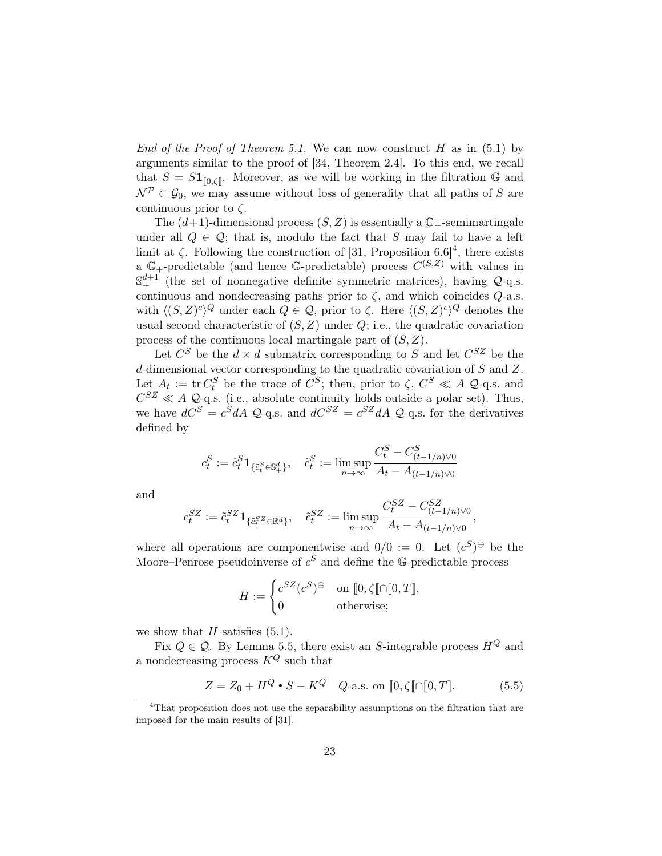End of the Proof of Theorem [5.1.](#page-18-0) We can now construct H as in  $(5.1)$  by arguments similar to the proof of [\[34,](#page-30-1) Theorem 2.4]. To this end, we recall that  $S = S1_{[0,\zeta]}$ . Moreover, as we will be working in the filtration G and  $\mathcal{N}^{\mathcal{P}} \subset \mathcal{G}_0$ , we may assume without loss of generality that all paths of S are continuous prior to  $\zeta$ .

The  $(d+1)$ -dimensional process  $(S, Z)$  is essentially a  $\mathbb{G}_+$ -semimartingale under all  $Q \in \mathcal{Q}$ ; that is, modulo the fact that S may fail to have a left limit at  $\zeta$ . Following the construction of [\[31,](#page-30-8) Proposition 6.6]<sup>[4](#page-22-0)</sup>, there exists a  $\mathbb{G}_{+}$ -predictable (and hence  $\mathbb{G}_{-}$ predictable) process  $C^{(S,Z)}$  with values in  $\mathbb{S}^{d+1}_+$  (the set of nonnegative definite symmetric matrices), having  $\mathcal{Q}$ -q.s. continuous and nondecreasing paths prior to  $\zeta$ , and which coincides  $Q$ -a.s. with  $\langle (S, Z)^c \rangle^Q$  under each  $Q \in \mathcal{Q}$ , prior to  $\zeta$ . Here  $\langle (S, Z)^c \rangle^Q$  denotes the usual second characteristic of  $(S, Z)$  under  $Q$ ; i.e., the quadratic covariation process of the continuous local martingale part of  $(S, Z)$ .

Let  $C^S$  be the  $d \times d$  submatrix corresponding to S and let  $C^{SZ}$  be the d-dimensional vector corresponding to the quadratic covariation of S and Z. Let  $A_t := \text{tr } C_t^S$  be the trace of  $C^S$ ; then, prior to  $\zeta$ ,  $C^S \ll A$  Q-q.s. and  $C^{SZ} \ll A$  Q-q.s. (i.e., absolute continuity holds outside a polar set). Thus, we have  $dC^S = c^S dA$  Q-q.s. and  $dC^{SZ} = c^{SZ} dA$  Q-q.s. for the derivatives defined by

$$
c_t^S := \tilde{c}_t^S \mathbf{1}_{\{\tilde{c}_t^S \in \mathbb{S}_+^d\}}, \quad \tilde{c}_t^S := \limsup_{n \to \infty} \frac{C_t^S - C_{(t-1/n)\vee 0}^S}{A_t - A_{(t-1/n)\vee 0}}
$$

and

$$
c_t^{SZ}:=\tilde{c}_t^{SZ}\mathbf{1}_{\{\tilde{c}_t^{SZ}\in\mathbb{R}^d\}},\quad \tilde{c}_t^{SZ}:=\limsup_{n\to\infty}\frac{C_t^{SZ}-C_{(t-1/n)\vee 0}^{SZ}}{A_t-A_{(t-1/n)\vee 0}},
$$

where all operations are componentwise and  $0/0 := 0$ . Let  $(c^S)^{\oplus}$  be the Moore–Penrose pseudoinverse of  $c^S$  and define the G-predictable process

$$
H := \begin{cases} c^{SZ}(c^S)^{\oplus} & \text{on } [0, \zeta[\![\cap[\![0,T]\!], \\ 0 & \text{otherwise}; \end{cases}
$$

we show that  $H$  satisfies  $(5.1)$ .

Fix  $Q \in \mathcal{Q}$ . By Lemma [5.5,](#page-21-0) there exist an S-integrable process  $H^Q$  and a nondecreasing process  $K^Q$  such that

<span id="page-22-1"></span>
$$
Z = Z_0 + H^Q \bullet S - K^Q \quad Q\text{-a.s. on } [0, \zeta[ \cap [0, T]]. \tag{5.5}
$$

<span id="page-22-0"></span><sup>&</sup>lt;sup>4</sup>That proposition does not use the separability assumptions on the filtration that are imposed for the main results of [\[31\]](#page-30-8).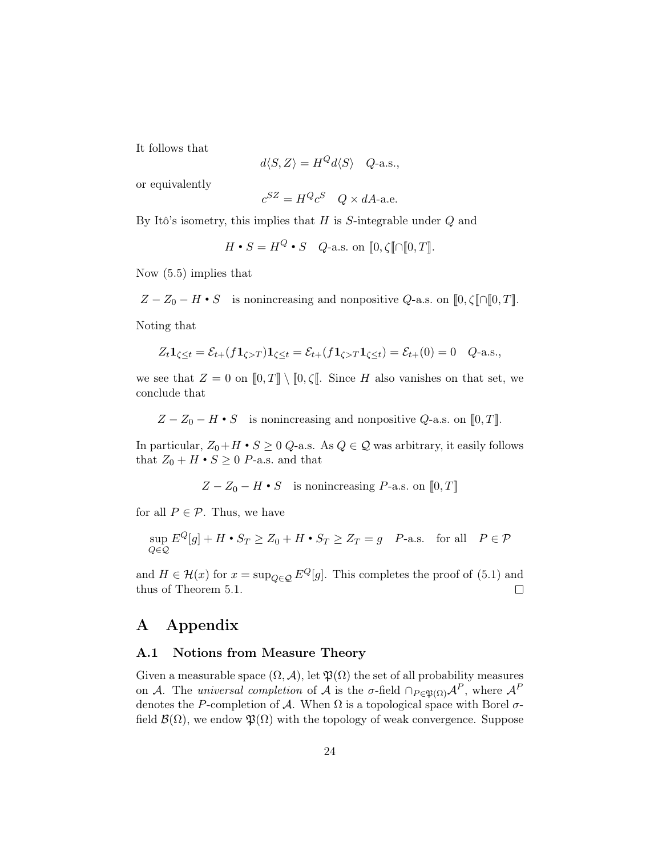It follows that

$$
d\langle S, Z \rangle = H^Q d\langle S \rangle \quad Q\text{-a.s.},
$$

or equivalently

$$
c^{SZ} = H^Q c^S \quad Q \times dA
$$
-a.e.

By Itô's isometry, this implies that  $H$  is S-integrable under  $Q$  and

 $H \bullet S = H^Q \bullet S$  Q-a.s. on  $[0, \zeta] \cap [0, T]$ .

Now [\(5.5\)](#page-22-1) implies that

 $Z - Z_0 - H \cdot S$  is nonincreasing and nonpositive Q-a.s. on  $[0, \zeta] \cap [0, T]$ .

Noting that

$$
Z_t \mathbf{1}_{\zeta \le t} = \mathcal{E}_{t+}(f \mathbf{1}_{\zeta > T}) \mathbf{1}_{\zeta \le t} = \mathcal{E}_{t+}(f \mathbf{1}_{\zeta > T} \mathbf{1}_{\zeta \le t}) = \mathcal{E}_{t+}(0) = 0 \quad Q\text{-a.s.},
$$

we see that  $Z = 0$  on  $[0, T] \setminus [0, \zeta]$ . Since H also vanishes on that set, we conclude that

 $Z - Z_0 - H \cdot S$  is nonincreasing and nonpositive  $Q$ -a.s. on [0, T].

In particular,  $Z_0 + H \cdot S \geq 0$  Q-a.s. As  $Q \in \mathcal{Q}$  was arbitrary, it easily follows that  $Z_0 + H \cdot S \geq 0$  *P*-a.s. and that

 $Z - Z_0 - H \cdot S$  is nonincreasing P-a.s. on  $[0, T]$ 

for all  $P \in \mathcal{P}$ . Thus, we have

$$
\sup_{Q \in \mathcal{Q}} E^Q[g] + H \bullet S_T \ge Z_0 + H \bullet S_T \ge Z_T = g \quad P\text{-a.s.} \quad \text{for all} \quad P \in \mathcal{P}
$$

and  $H \in \mathcal{H}(x)$  for  $x = \sup_{Q \in \mathcal{Q}} E^Q[g]$ . This completes the proof of [\(5.1\)](#page-19-2) and thus of Theorem [5.1.](#page-18-0)  $\Box$ 

# A Appendix

## <span id="page-23-0"></span>A.1 Notions from Measure Theory

Given a measurable space  $(\Omega, \mathcal{A})$ , let  $\mathfrak{P}(\Omega)$  the set of all probability measures on A. The universal completion of A is the  $\sigma$ -field  $\cap_{P \in \mathfrak{P}(\Omega)} \mathcal{A}^P$ , where  $\mathcal{A}^P$ denotes the P-completion of A. When  $\Omega$  is a topological space with Borel  $\sigma$ field  $\mathcal{B}(\Omega)$ , we endow  $\mathfrak{P}(\Omega)$  with the topology of weak convergence. Suppose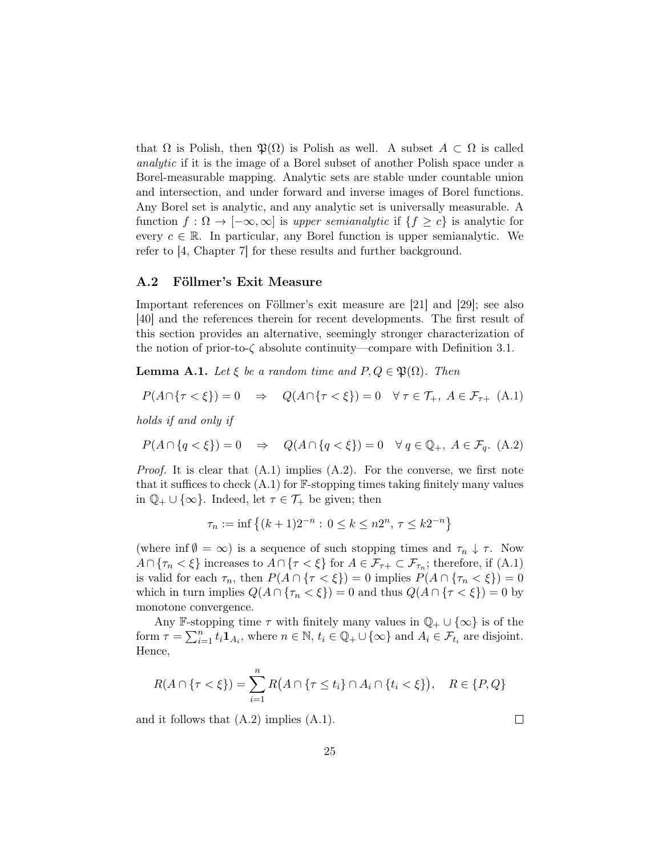that  $\Omega$  is Polish, then  $\mathfrak{P}(\Omega)$  is Polish as well. A subset  $A \subset \Omega$  is called analytic if it is the image of a Borel subset of another Polish space under a Borel-measurable mapping. Analytic sets are stable under countable union and intersection, and under forward and inverse images of Borel functions. Any Borel set is analytic, and any analytic set is universally measurable. A function  $f : \Omega \to [-\infty, \infty]$  is upper semianalytic if  $\{f \geq c\}$  is analytic for every  $c \in \mathbb{R}$ . In particular, any Borel function is upper semianalytic. We refer to [\[4,](#page-28-4) Chapter 7] for these results and further background.

#### <span id="page-24-0"></span>A.2 Föllmer's Exit Measure

Important references on Föllmer's exit measure are [\[21\]](#page-29-17) and [\[29\]](#page-30-14); see also [\[40\]](#page-31-6) and the references therein for recent developments. The first result of this section provides an alternative, seemingly stronger characterization of the notion of prior-to- $\zeta$  absolute continuity—compare with Definition [3.1.](#page-5-2)

<span id="page-24-1"></span>**Lemma A.1.** Let  $\xi$  be a random time and  $P, Q \in \mathfrak{P}(\Omega)$ . Then

<span id="page-24-2"></span>
$$
P(A \cap \{\tau < \xi\}) = 0 \quad \Rightarrow \quad Q(A \cap \{\tau < \xi\}) = 0 \quad \forall \ \tau \in \mathcal{T}_{+}, \ A \in \mathcal{F}_{\tau+} \ (A.1)
$$

holds if and only if

<span id="page-24-3"></span>
$$
P(A \cap \{q < \xi\}) = 0 \quad \Rightarrow \quad Q(A \cap \{q < \xi\}) = 0 \quad \forall \ q \in \mathbb{Q}_+, \ A \in \mathcal{F}_q. \ (A.2)
$$

*Proof.* It is clear that  $(A.1)$  implies  $(A.2)$ . For the converse, we first note that it suffices to check  $(A.1)$  for  $\mathbb{F}$ -stopping times taking finitely many values in  $\mathbb{Q}_+ \cup \{\infty\}$ . Indeed, let  $\tau \in \mathcal{T}_+$  be given; then

$$
\tau_n := \inf \left\{ (k+1)2^{-n} : 0 \le k \le n2^n, \, \tau \le k2^{-n} \right\}
$$

(where inf  $\emptyset = \infty$ ) is a sequence of such stopping times and  $\tau_n \downarrow \tau$ . Now  $A \cap {\tau_n < \xi}$  increases to  $A \cap {\tau < \xi}$  for  $A \in \mathcal{F}_{\tau+} \subset \mathcal{F}_{\tau_n}$ ; therefore, if [\(A.1\)](#page-24-2) is valid for each  $\tau_n$ , then  $P(A \cap {\tau < \xi}) = 0$  implies  $P(A \cap {\tau_n < \xi}) = 0$ which in turn implies  $Q(A \cap {\tau_n < \xi}) = 0$  and thus  $Q(A \cap {\tau < \xi}) = 0$  by monotone convergence.

Any F-stopping time  $\tau$  with finitely many values in  $\mathbb{Q}_+ \cup \{ \infty \}$  is of the form  $\tau = \sum_{i=1}^n t_i \mathbf{1}_{A_i}$ , where  $n \in \mathbb{N}$ ,  $t_i \in \mathbb{Q}_+ \cup \{\infty\}$  and  $A_i \in \mathcal{F}_{t_i}$  are disjoint. Hence,

$$
R(A \cap \{\tau < \xi\}) = \sum_{i=1}^{n} R(A \cap \{\tau \le t_i\} \cap A_i \cap \{t_i < \xi\}), \quad R \in \{P, Q\}
$$

and it follows that [\(A.2\)](#page-24-3) implies [\(A.1\)](#page-24-2).

 $\Box$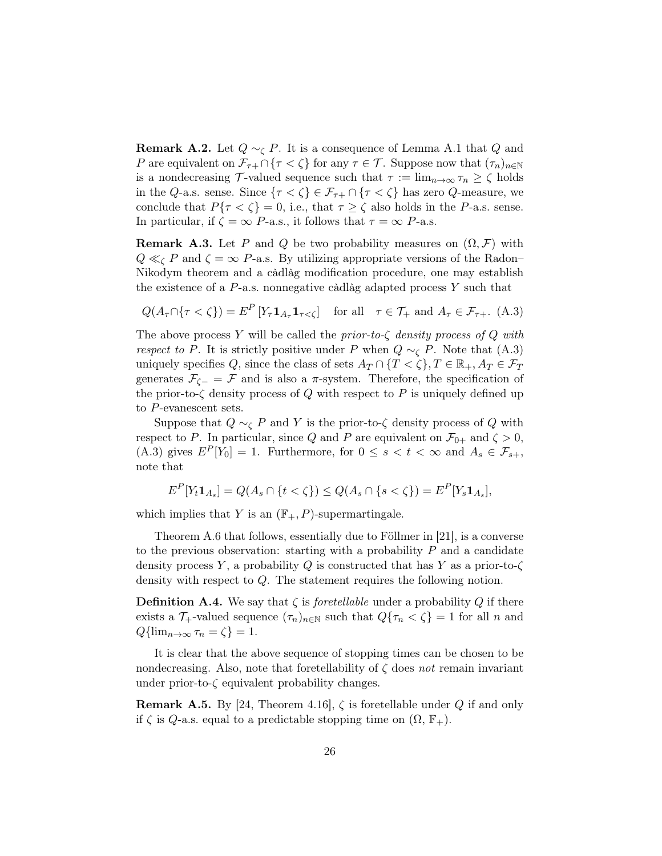<span id="page-25-1"></span>**Remark A.2.** Let  $Q \sim_{\mathcal{C}} P$ . It is a consequence of Lemma [A.1](#page-24-1) that  $Q$  and P are equivalent on  $\mathcal{F}_{\tau+} \cap {\tau < \zeta}$  for any  $\tau \in \mathcal{T}$ . Suppose now that  $(\tau_n)_{n \in \mathbb{N}}$ is a nondecreasing T-valued sequence such that  $\tau := \lim_{n \to \infty} \tau_n \ge \zeta$  holds in the Q-a.s. sense. Since  $\{\tau < \zeta\} \in \mathcal{F}_{\tau+} \cap \{\tau < \zeta\}$  has zero Q-measure, we conclude that  $P\{\tau < \zeta\} = 0$ , i.e., that  $\tau \ge \zeta$  also holds in the P-a.s. sense. In particular, if  $\zeta = \infty$  P-a.s., it follows that  $\tau = \infty$  P-a.s.

<span id="page-25-2"></span>**Remark A.3.** Let P and Q be two probability measures on  $(\Omega, \mathcal{F})$  with  $Q \ll_{\mathcal{C}} P$  and  $\zeta = \infty$  P-a.s. By utilizing appropriate versions of the Radon– Nikodym theorem and a càdlàg modification procedure, one may establish the existence of a  $P$ -a.s. nonnegative càdlàg adapted process Y such that

<span id="page-25-4"></span>
$$
Q(A_{\tau} \cap \{\tau < \zeta\}) = E^P \left[ Y_{\tau} \mathbf{1}_{A_{\tau}} \mathbf{1}_{\tau < \zeta} \right] \quad \text{for all} \quad \tau \in \mathcal{T}_+ \text{ and } A_{\tau} \in \mathcal{F}_{\tau+}. \tag{A.3}
$$

The above process Y will be called the *prior-to-* $\zeta$  density process of Q with respect to P. It is strictly positive under P when  $Q \sim_{\mathcal{C}} P$ . Note that [\(A.3\)](#page-25-4) uniquely specifies Q, since the class of sets  $A_T \cap \{T < \zeta\}, T \in \mathbb{R}_+, A_T \in \mathcal{F}_T$ generates  $\mathcal{F}_{\zeta-} = \mathcal{F}$  and is also a  $\pi$ -system. Therefore, the specification of the prior-to- $\zeta$  density process of Q with respect to P is uniquely defined up to P-evanescent sets.

Suppose that  $Q \sim_{\mathcal{C}} P$  and Y is the prior-to- $\zeta$  density process of Q with respect to P. In particular, since Q and P are equivalent on  $\mathcal{F}_{0+}$  and  $\zeta > 0$ , [\(A.3\)](#page-25-4) gives  $E^P[Y_0] = 1$ . Furthermore, for  $0 \le s < t < \infty$  and  $A_s \in \mathcal{F}_{s+}$ , note that

$$
E^{P}[Y_{t}\mathbf{1}_{A_{s}}] = Q(A_{s} \cap \{t < \zeta\}) \leq Q(A_{s} \cap \{s < \zeta\}) = E^{P}[Y_{s}\mathbf{1}_{A_{s}}],
$$

which implies that Y is an  $(\mathbb{F}_{+}, P)$ -supermartingale.

Theorem [A.6](#page-26-0) that follows, essentially due to Föllmer in [\[21\]](#page-29-17), is a converse to the previous observation: starting with a probability  $P$  and a candidate density process Y, a probability Q is constructed that has Y as a prior-to- $\zeta$ density with respect to Q. The statement requires the following notion.

<span id="page-25-0"></span>**Definition A.4.** We say that  $\zeta$  is *foretellable* under a probability Q if there exists a  $\mathcal{T}_+$ -valued sequence  $(\tau_n)_{n\in\mathbb{N}}$  such that  $Q\{\tau_n < \zeta\} = 1$  for all n and  $Q\{\lim_{n\to\infty}\tau_n=\zeta\}=1.$ 

It is clear that the above sequence of stopping times can be chosen to be nondecreasing. Also, note that foretellability of  $\zeta$  does not remain invariant under prior-to- $\zeta$  equivalent probability changes.

<span id="page-25-3"></span>**Remark A.5.** By [\[24,](#page-30-15) Theorem 4.16],  $\zeta$  is foretellable under Q if and only if  $\zeta$  is  $Q$ -a.s. equal to a predictable stopping time on  $(\Omega, \mathbb{F}_{+})$ .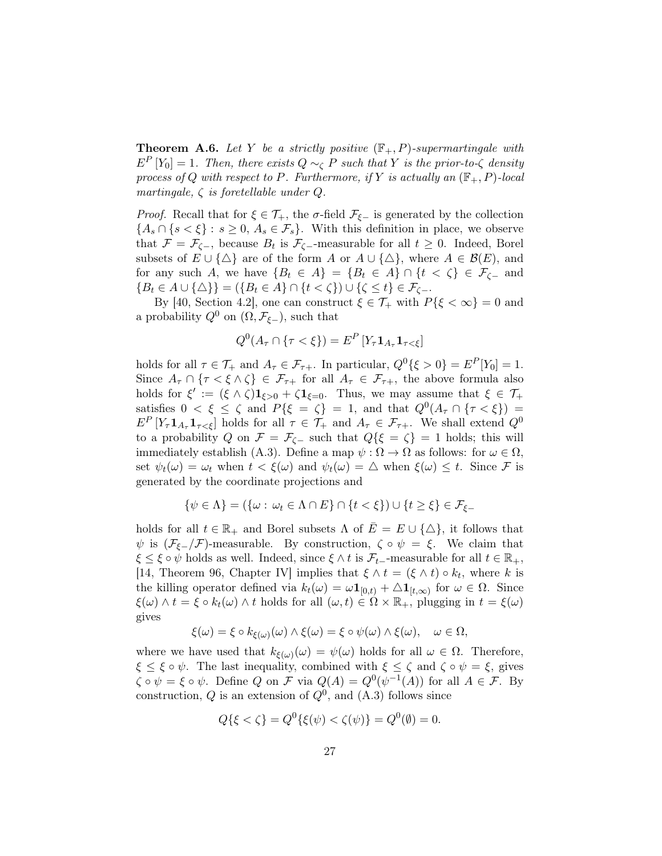<span id="page-26-0"></span>**Theorem A.6.** Let Y be a strictly positive  $(\mathbb{F}_{+}, P)$ -supermartingale with  $E<sup>P</sup>[Y<sub>0</sub>] = 1$ . Then, there exists  $Q \sim_{\zeta} P$  such that Y is the prior-to- $\zeta$  density process of Q with respect to P. Furthermore, if Y is actually an  $(\mathbb{F}_{+}, P)$ -local martingale,  $\zeta$  is foretellable under  $Q$ .

*Proof.* Recall that for  $\xi \in \mathcal{T}_+$ , the  $\sigma$ -field  $\mathcal{F}_{\xi-}$  is generated by the collection  ${A_s \cap {s < \xi} : s \ge 0, A_s \in \mathcal{F}_s}.$  With this definition in place, we observe that  $\mathcal{F} = \mathcal{F}_{\zeta-}$ , because  $B_t$  is  $\mathcal{F}_{\zeta-}$ -measurable for all  $t \geq 0$ . Indeed, Borel subsets of  $E \cup {\{\triangle\}}$  are of the form A or  $A \cup {\{\triangle\}}$ , where  $A \in \mathcal{B}(E)$ , and for any such A, we have  $\{B_t \in A\} = \{B_t \in A\} \cap \{t < \zeta\} \in \mathcal{F}_{\zeta-}$  and  ${B_t \in A \cup {\{\triangle\}} = ({B_t \in A} \cap {t < \zeta\}}) \cup {\zeta \le t} \in {\mathcal{F}_{\zeta-}}.$ 

By [\[40,](#page-31-6) Section 4.2], one can construct  $\xi \in \mathcal{T}_+$  with  $P\{\xi < \infty\} = 0$  and a probability  $Q^0$  on  $(\Omega, \mathcal{F}_{\xi-})$ , such that

$$
Q^{0}(A_{\tau}\cap\{\tau<\xi\})=E^{P}[Y_{\tau}\mathbf{1}_{A_{\tau}}\mathbf{1}_{\tau<\xi}]
$$

holds for all  $\tau \in \mathcal{T}_+$  and  $A_{\tau} \in \mathcal{F}_{\tau+}$ . In particular,  $Q^0\{\xi > 0\} = E^P[Y_0] = 1$ . Since  $A_{\tau} \cap {\tau < \xi \wedge \zeta} \in \mathcal{F}_{\tau+}$  for all  $A_{\tau} \in \mathcal{F}_{\tau+}$ , the above formula also holds for  $\xi' := (\xi \wedge \zeta) \mathbf{1}_{\xi>0} + \zeta \mathbf{1}_{\xi=0}$ . Thus, we may assume that  $\xi \in \mathcal{T}_+$ satisfies  $0 < \xi \le \zeta$  and  $P\{\xi = \zeta\} = 1$ , and that  $Q^0(A_\tau \cap {\tau < \xi}) =$  $E^P[Y_\tau \mathbf{1}_{A_\tau} \mathbf{1}_{\tau \leq \xi}]$  holds for all  $\tau \in \mathcal{T}_+$  and  $A_\tau \in \mathcal{F}_{\tau+}$ . We shall extend  $Q^0$ to a probability Q on  $\mathcal{F} = \mathcal{F}_{\zeta^-}$  such that  $Q\{\xi = \zeta\} = 1$  holds; this will immediately establish [\(A.3\)](#page-25-4). Define a map  $\psi : \Omega \to \Omega$  as follows: for  $\omega \in \Omega$ , set  $\psi_t(\omega) = \omega_t$  when  $t < \xi(\omega)$  and  $\psi_t(\omega) = \Delta$  when  $\xi(\omega) \leq t$ . Since F is generated by the coordinate projections and

$$
\{\psi \in \Lambda\} = (\{\omega : \omega_t \in \Lambda \cap E\} \cap \{t < \xi\}) \cup \{t \geq \xi\} \in \mathcal{F}_{\xi-}
$$

holds for all  $t \in \mathbb{R}_+$  and Borel subsets  $\Lambda$  of  $\overline{E} = E \cup \{\Delta\}$ , it follows that  $\psi$  is  $(\mathcal{F}_{\xi-}/\mathcal{F})$ -measurable. By construction,  $\zeta \circ \psi = \xi$ . We claim that  $\xi \leq \xi \circ \psi$  holds as well. Indeed, since  $\xi \wedge t$  is  $\mathcal{F}_{t-}$ -measurable for all  $t \in \mathbb{R}_+$ , [\[14,](#page-29-14) Theorem 96, Chapter IV] implies that  $\xi \wedge t = (\xi \wedge t) \circ k_t$ , where k is the killing operator defined via  $k_t(\omega) = \omega \mathbf{1}_{[0,t)} + \Delta \mathbf{1}_{[t,\infty)}$  for  $\omega \in \Omega$ . Since  $\xi(\omega) \wedge t = \xi \circ k_t(\omega) \wedge t$  holds for all  $(\omega, t) \in \Omega \times \mathbb{R}_+$ , plugging in  $t = \xi(\omega)$ gives

$$
\xi(\omega) = \xi \circ k_{\xi(\omega)}(\omega) \wedge \xi(\omega) = \xi \circ \psi(\omega) \wedge \xi(\omega), \quad \omega \in \Omega,
$$

where we have used that  $k_{\xi(\omega)}(\omega) = \psi(\omega)$  holds for all  $\omega \in \Omega$ . Therefore,  $\xi \leq \xi \circ \psi$ . The last inequality, combined with  $\xi \leq \zeta$  and  $\zeta \circ \psi = \xi$ , gives  $\zeta \circ \psi = \xi \circ \psi$ . Define Q on F via  $Q(A) = Q^0(\psi^{-1}(A))$  for all  $A \in \mathcal{F}$ . By construction,  $Q$  is an extension of  $Q^0$ , and  $(A.3)$  follows since

$$
Q\{\xi < \zeta\} = Q^0\{\xi(\psi) < \zeta(\psi)\} = Q^0(\emptyset) = 0.
$$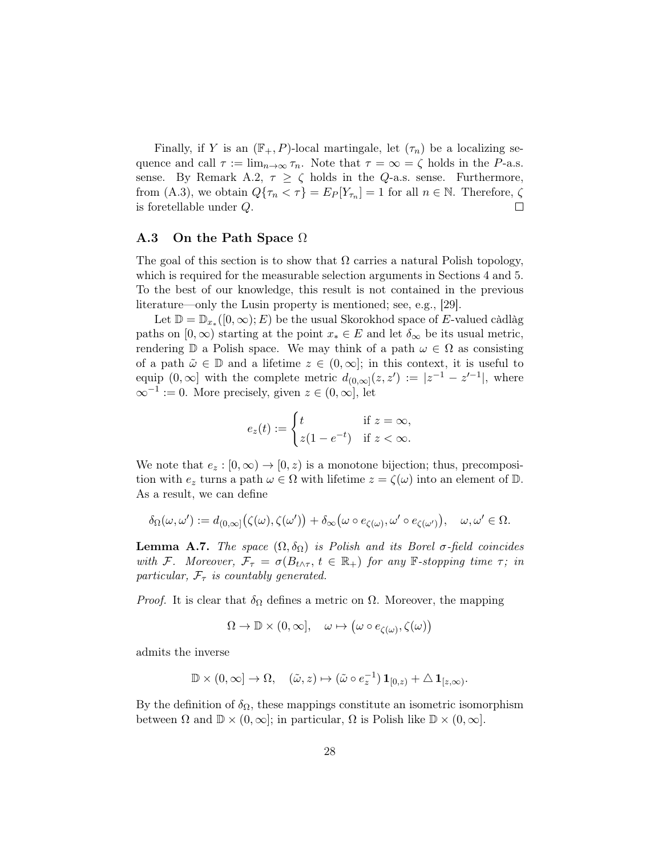Finally, if Y is an  $(\mathbb{F}_{+}, P)$ -local martingale, let  $(\tau_n)$  be a localizing sequence and call  $\tau := \lim_{n \to \infty} \tau_n$ . Note that  $\tau = \infty = \zeta$  holds in the P-a.s. sense. By Remark [A.2,](#page-25-1)  $\tau \geq \zeta$  holds in the Q-a.s. sense. Furthermore, from [\(A.3\)](#page-25-4), we obtain  $Q\{\tau_n < \tau\} = E_P[Y_{\tau_n}] = 1$  for all  $n \in \mathbb{N}$ . Therefore,  $\zeta$ is foretellable under Q.  $\Box$ 

#### A.3 On the Path Space Ω

The goal of this section is to show that  $\Omega$  carries a natural Polish topology, which is required for the measurable selection arguments in Sections [4](#page-8-0) and [5.](#page-17-0) To the best of our knowledge, this result is not contained in the previous literature—only the Lusin property is mentioned; see, e.g., [\[29\]](#page-30-14).

Let  $\mathbb{D} = \mathbb{D}_{x_*}([0,\infty);E)$  be the usual Skorokhod space of E-valued càdlàg paths on  $[0, \infty)$  starting at the point  $x_* \in E$  and let  $\delta_{\infty}$  be its usual metric, rendering  $\mathbb D$  a Polish space. We may think of a path  $\omega \in \Omega$  as consisting of a path  $\tilde{\omega} \in \mathbb{D}$  and a lifetime  $z \in (0,\infty]$ ; in this context, it is useful to equip  $(0, \infty]$  with the complete metric  $d_{(0,\infty]}(z, z') := |z^{-1} - z'^{-1}|$ , where  $\infty^{-1} := 0$ . More precisely, given  $z \in (0, \infty]$ , let

$$
e_z(t) := \begin{cases} t & \text{if } z = \infty, \\ z(1 - e^{-t}) & \text{if } z < \infty. \end{cases}
$$

We note that  $e_z : [0, \infty) \to [0, z)$  is a monotone bijection; thus, precomposition with  $e_z$  turns a path  $\omega \in \Omega$  with lifetime  $z = \zeta(\omega)$  into an element of  $\mathbb{D}$ . As a result, we can define

$$
\delta_\Omega(\omega,\omega'):=d_{(0,\infty]}\big(\zeta(\omega),\zeta(\omega')\big)+\delta_\infty\big(\omega\circ e_{\zeta(\omega)},\omega'\circ e_{\zeta(\omega')}\big),\quad \omega,\omega'\in\Omega.
$$

<span id="page-27-0"></span>**Lemma A.7.** The space  $(\Omega, \delta_{\Omega})$  is Polish and its Borel  $\sigma$ -field coincides with F. Moreover,  $\mathcal{F}_{\tau} = \sigma(B_{t \wedge \tau}, t \in \mathbb{R}_{+})$  for any F-stopping time  $\tau$ ; in particular,  $\mathcal{F}_{\tau}$  is countably generated.

*Proof.* It is clear that  $\delta_{\Omega}$  defines a metric on  $\Omega$ . Moreover, the mapping

$$
\Omega \to \mathbb{D} \times (0, \infty], \quad \omega \mapsto (\omega \circ e_{\zeta(\omega)}, \zeta(\omega))
$$

admits the inverse

$$
\mathbb{D} \times (0,\infty] \to \Omega, \quad (\tilde{\omega}, z) \mapsto (\tilde{\omega} \circ e_z^{-1}) \mathbf{1}_{[0,z)} + \Delta \mathbf{1}_{[z,\infty)}.
$$

By the definition of  $\delta_{\Omega}$ , these mappings constitute an isometric isomorphism between  $\Omega$  and  $\mathbb{D} \times (0,\infty]$ ; in particular,  $\Omega$  is Polish like  $\mathbb{D} \times (0,\infty]$ .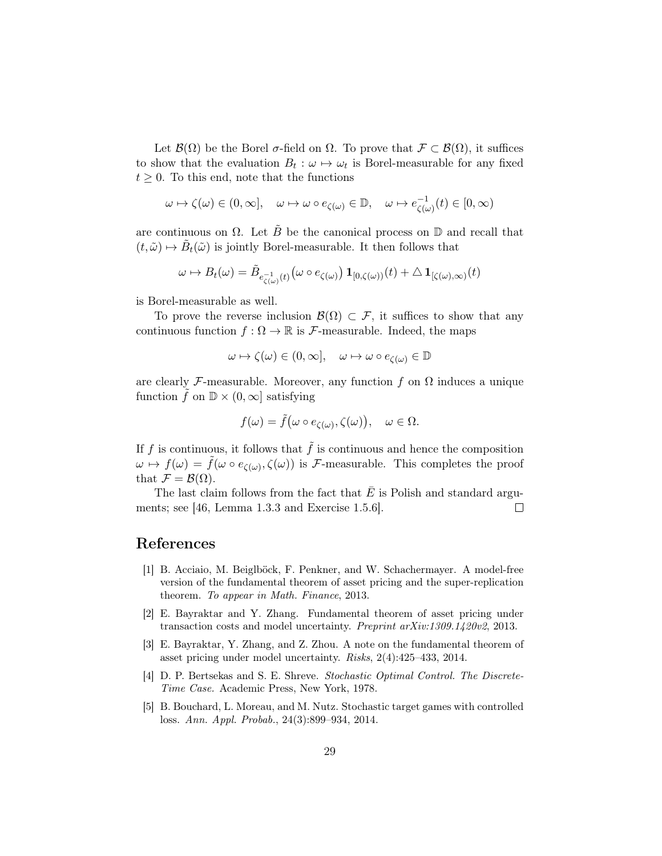Let  $\mathcal{B}(\Omega)$  be the Borel  $\sigma$ -field on  $\Omega$ . To prove that  $\mathcal{F} \subset \mathcal{B}(\Omega)$ , it suffices to show that the evaluation  $B_t: \omega \mapsto \omega_t$  is Borel-measurable for any fixed  $t \geq 0$ . To this end, note that the functions

$$
\omega \mapsto \zeta(\omega) \in (0,\infty], \quad \omega \mapsto \omega \circ e_{\zeta(\omega)} \in \mathbb{D}, \quad \omega \mapsto e_{\zeta(\omega)}^{-1}(t) \in [0,\infty)
$$

are continuous on  $\Omega$ . Let  $\tilde{B}$  be the canonical process on  $\mathbb D$  and recall that  $(t, \tilde{\omega}) \mapsto \tilde{B}_t(\tilde{\omega})$  is jointly Borel-measurable. It then follows that

$$
\omega \mapsto B_t(\omega) = \tilde{B}_{e^{-1}_{\zeta(\omega)}(t)}\big(\omega \circ e_{\zeta(\omega)}\big) \mathbf{1}_{[0,\zeta(\omega))}(t) + \Delta \mathbf{1}_{[\zeta(\omega),\infty)}(t)
$$

is Borel-measurable as well.

To prove the reverse inclusion  $\mathcal{B}(\Omega) \subset \mathcal{F}$ , it suffices to show that any continuous function  $f : \Omega \to \mathbb{R}$  is *F*-measurable. Indeed, the maps

$$
\omega \mapsto \zeta(\omega) \in (0, \infty], \quad \omega \mapsto \omega \circ e_{\zeta(\omega)} \in \mathbb{D}
$$

are clearly F-measurable. Moreover, any function f on  $\Omega$  induces a unique function  $f$  on  $\mathbb{D} \times (0,\infty]$  satisfying

$$
f(\omega) = \tilde{f}(\omega \circ e_{\zeta(\omega)}, \zeta(\omega)), \quad \omega \in \Omega.
$$

If f is continuous, it follows that  $\tilde{f}$  is continuous and hence the composition  $\omega \mapsto f(\omega) = \tilde{f}(\omega \circ e_{\zeta(\omega)}, \zeta(\omega))$  is F-measurable. This completes the proof that  $\mathcal{F} = \mathcal{B}(\Omega)$ .

The last claim follows from the fact that  $\overline{E}$  is Polish and standard arguments; see [\[46,](#page-31-4) Lemma 1.3.3 and Exercise 1.5.6].  $\Box$ 

# References

- <span id="page-28-0"></span>[1] B. Acciaio, M. Beiglböck, F. Penkner, and W. Schachermayer. A model-free version of the fundamental theorem of asset pricing and the super-replication theorem. To appear in Math. Finance, 2013.
- <span id="page-28-1"></span>[2] E. Bayraktar and Y. Zhang. Fundamental theorem of asset pricing under transaction costs and model uncertainty. Preprint arXiv:1309.1420v2, 2013.
- <span id="page-28-2"></span>[3] E. Bayraktar, Y. Zhang, and Z. Zhou. A note on the fundamental theorem of asset pricing under model uncertainty. Risks, 2(4):425–433, 2014.
- <span id="page-28-4"></span>[4] D. P. Bertsekas and S. E. Shreve. Stochastic Optimal Control. The Discrete-Time Case. Academic Press, New York, 1978.
- <span id="page-28-3"></span>[5] B. Bouchard, L. Moreau, and M. Nutz. Stochastic target games with controlled loss. Ann. Appl. Probab., 24(3):899–934, 2014.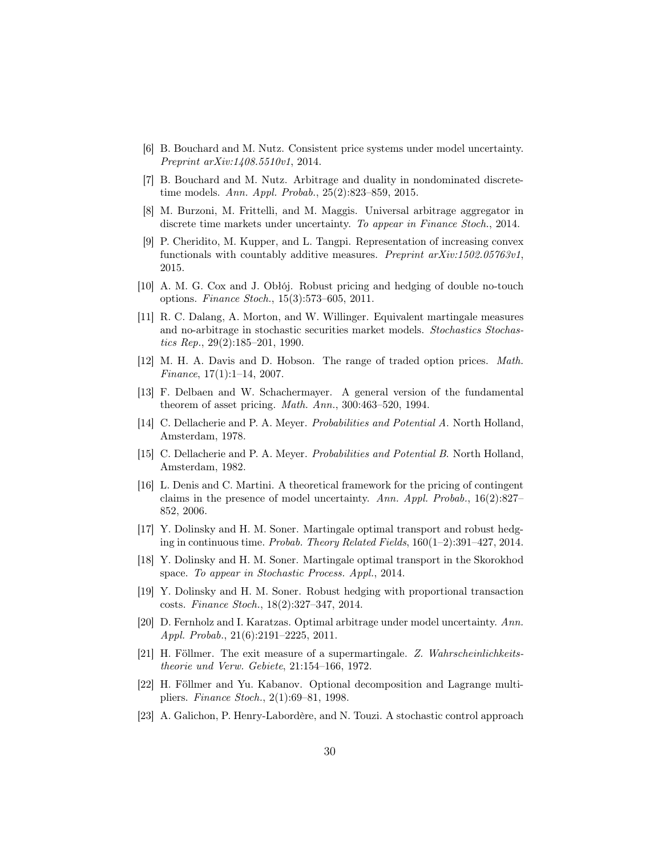- <span id="page-29-7"></span>[6] B. Bouchard and M. Nutz. Consistent price systems under model uncertainty. Preprint arXiv:1408.5510v1, 2014.
- <span id="page-29-2"></span>[7] B. Bouchard and M. Nutz. Arbitrage and duality in nondominated discretetime models. Ann. Appl. Probab., 25(2):823–859, 2015.
- <span id="page-29-6"></span>[8] M. Burzoni, M. Frittelli, and M. Maggis. Universal arbitrage aggregator in discrete time markets under uncertainty. To appear in Finance Stoch., 2014.
- <span id="page-29-13"></span>[9] P. Cheridito, M. Kupper, and L. Tangpi. Representation of increasing convex functionals with countably additive measures. Preprint arXiv:1502.05763v1, 2015.
- <span id="page-29-11"></span>[10] A. M. G. Cox and J. Obłój. Robust pricing and hedging of double no-touch options. Finance Stoch., 15(3):573–605, 2011.
- <span id="page-29-0"></span>[11] R. C. Dalang, A. Morton, and W. Willinger. Equivalent martingale measures and no-arbitrage in stochastic securities market models. Stochastics Stochastics Rep.,  $29(2):185-201$ , 1990.
- <span id="page-29-5"></span>[12] M. H. A. Davis and D. Hobson. The range of traded option prices. Math. Finance, 17(1):1–14, 2007.
- <span id="page-29-1"></span>[13] F. Delbaen and W. Schachermayer. A general version of the fundamental theorem of asset pricing. Math. Ann., 300:463–520, 1994.
- <span id="page-29-14"></span>[14] C. Dellacherie and P. A. Meyer. Probabilities and Potential A. North Holland, Amsterdam, 1978.
- <span id="page-29-15"></span>[15] C. Dellacherie and P. A. Meyer. Probabilities and Potential B. North Holland, Amsterdam, 1982.
- <span id="page-29-9"></span>[16] L. Denis and C. Martini. A theoretical framework for the pricing of contingent claims in the presence of model uncertainty. Ann. Appl. Probab., 16(2):827– 852, 2006.
- <span id="page-29-3"></span>[17] Y. Dolinsky and H. M. Soner. Martingale optimal transport and robust hedging in continuous time. Probab. Theory Related Fields, 160(1–2):391–427, 2014.
- <span id="page-29-4"></span>[18] Y. Dolinsky and H. M. Soner. Martingale optimal transport in the Skorokhod space. To appear in Stochastic Process. Appl., 2014.
- <span id="page-29-8"></span>[19] Y. Dolinsky and H. M. Soner. Robust hedging with proportional transaction costs. Finance Stoch., 18(2):327–347, 2014.
- <span id="page-29-10"></span>[20] D. Fernholz and I. Karatzas. Optimal arbitrage under model uncertainty. Ann. Appl. Probab., 21(6):2191–2225, 2011.
- <span id="page-29-17"></span>[21] H. Föllmer. The exit measure of a supermartingale. Z. Wahrscheinlichkeitstheorie und Verw. Gebiete, 21:154–166, 1972.
- <span id="page-29-16"></span>[22] H. Föllmer and Yu. Kabanov. Optional decomposition and Lagrange multipliers. Finance Stoch., 2(1):69–81, 1998.
- <span id="page-29-12"></span>[23] A. Galichon, P. Henry-Labordère, and N. Touzi. A stochastic control approach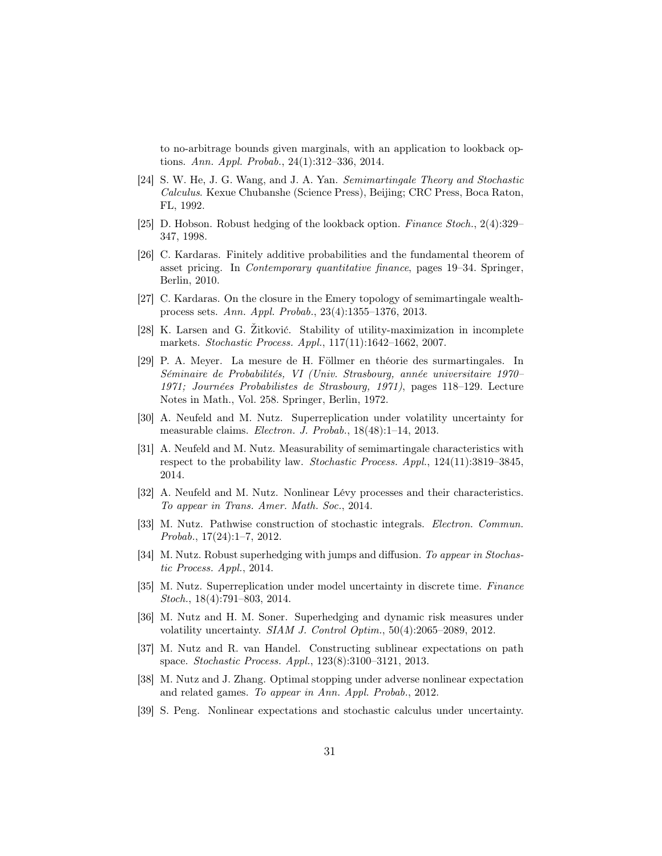to no-arbitrage bounds given marginals, with an application to lookback options. Ann. Appl. Probab., 24(1):312–336, 2014.

- <span id="page-30-15"></span>[24] S. W. He, J. G. Wang, and J. A. Yan. Semimartingale Theory and Stochastic Calculus. Kexue Chubanshe (Science Press), Beijing; CRC Press, Boca Raton, FL, 1992.
- <span id="page-30-6"></span>[25] D. Hobson. Robust hedging of the lookback option. Finance Stoch., 2(4):329– 347, 1998.
- <span id="page-30-0"></span>[26] C. Kardaras. Finitely additive probabilities and the fundamental theorem of asset pricing. In Contemporary quantitative finance, pages 19–34. Springer, Berlin, 2010.
- <span id="page-30-9"></span>[27] C. Kardaras. On the closure in the Emery topology of semimartingale wealthprocess sets. Ann. Appl. Probab., 23(4):1355–1376, 2013.
- <span id="page-30-13"></span>[28] K. Larsen and G. Žitković. Stability of utility-maximization in incomplete markets. Stochastic Process. Appl., 117(11):1642–1662, 2007.
- <span id="page-30-14"></span>[29] P. A. Meyer. La mesure de H. Föllmer en théorie des surmartingales. In Séminaire de Probabilités, VI (Univ. Strasbourg, année universitaire 1970– 1971; Journées Probabilistes de Strasbourg, 1971), pages 118–129. Lecture Notes in Math., Vol. 258. Springer, Berlin, 1972.
- <span id="page-30-2"></span>[30] A. Neufeld and M. Nutz. Superreplication under volatility uncertainty for measurable claims. Electron. J. Probab., 18(48):1–14, 2013.
- <span id="page-30-8"></span>[31] A. Neufeld and M. Nutz. Measurability of semimartingale characteristics with respect to the probability law. Stochastic Process. Appl., 124(11):3819–3845, 2014.
- <span id="page-30-11"></span>[32] A. Neufeld and M. Nutz. Nonlinear Lévy processes and their characteristics. To appear in Trans. Amer. Math. Soc., 2014.
- <span id="page-30-12"></span>[33] M. Nutz. Pathwise construction of stochastic integrals. Electron. Commun. Probab., 17(24):1–7, 2012.
- <span id="page-30-1"></span>[34] M. Nutz. Robust superhedging with jumps and diffusion. To appear in Stochastic Process. Appl., 2014.
- <span id="page-30-7"></span>[35] M. Nutz. Superreplication under model uncertainty in discrete time. Finance Stoch., 18(4):791–803, 2014.
- <span id="page-30-3"></span>[36] M. Nutz and H. M. Soner. Superhedging and dynamic risk measures under volatility uncertainty. SIAM J. Control Optim., 50(4):2065–2089, 2012.
- <span id="page-30-10"></span>[37] M. Nutz and R. van Handel. Constructing sublinear expectations on path space. Stochastic Process. Appl., 123(8):3100–3121, 2013.
- <span id="page-30-4"></span>[38] M. Nutz and J. Zhang. Optimal stopping under adverse nonlinear expectation and related games. To appear in Ann. Appl. Probab., 2012.
- <span id="page-30-5"></span>[39] S. Peng. Nonlinear expectations and stochastic calculus under uncertainty.